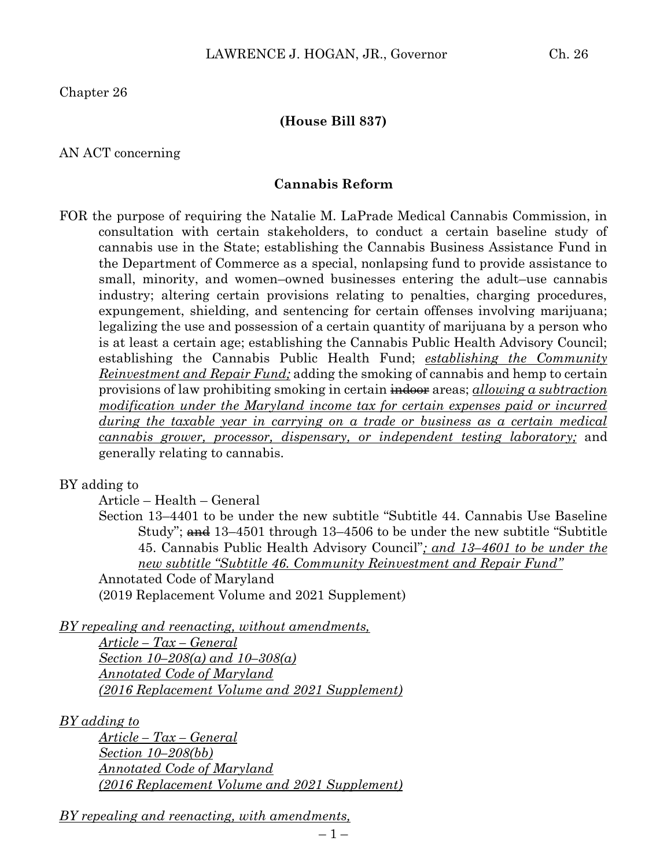Chapter 26

#### **(House Bill 837)**

AN ACT concerning

#### **Cannabis Reform**

FOR the purpose of requiring the Natalie M. LaPrade Medical Cannabis Commission, in consultation with certain stakeholders, to conduct a certain baseline study of cannabis use in the State; establishing the Cannabis Business Assistance Fund in the Department of Commerce as a special, nonlapsing fund to provide assistance to small, minority, and women–owned businesses entering the adult–use cannabis industry; altering certain provisions relating to penalties, charging procedures, expungement, shielding, and sentencing for certain offenses involving marijuana; legalizing the use and possession of a certain quantity of marijuana by a person who is at least a certain age; establishing the Cannabis Public Health Advisory Council; establishing the Cannabis Public Health Fund; *establishing the Community Reinvestment and Repair Fund;* adding the smoking of cannabis and hemp to certain provisions of law prohibiting smoking in certain indoor areas; *allowing a subtraction modification under the Maryland income tax for certain expenses paid or incurred during the taxable year in carrying on a trade or business as a certain medical cannabis grower, processor, dispensary, or independent testing laboratory;* and generally relating to cannabis.

#### BY adding to

Article – Health – General

Section 13–4401 to be under the new subtitle "Subtitle 44. Cannabis Use Baseline Study"; and 13-4501 through 13-4506 to be under the new subtitle "Subtitle" 45. Cannabis Public Health Advisory Council"*; and 13–4601 to be under the new subtitle "Subtitle 46. Community Reinvestment and Repair Fund"* Annotated Code of Maryland

(2019 Replacement Volume and 2021 Supplement)

*BY repealing and reenacting, without amendments,*

*Article – Tax – General Section 10–208(a) and 10–308(a) Annotated Code of Maryland (2016 Replacement Volume and 2021 Supplement)*

*BY adding to*

*Article – Tax – General Section 10–208(bb) Annotated Code of Maryland (2016 Replacement Volume and 2021 Supplement)*

*BY repealing and reenacting, with amendments,*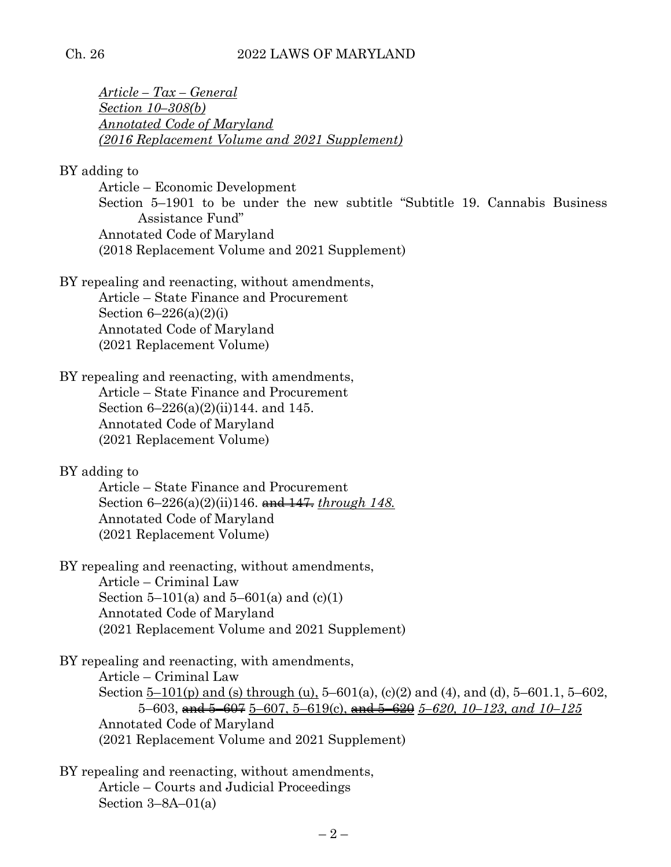#### Ch. 26 2022 LAWS OF MARYLAND

*Article – Tax – General Section 10–308(b) Annotated Code of Maryland (2016 Replacement Volume and 2021 Supplement)* 

BY adding to

Article – Economic Development Section 5–1901 to be under the new subtitle "Subtitle 19. Cannabis Business Assistance Fund" Annotated Code of Maryland (2018 Replacement Volume and 2021 Supplement)

BY repealing and reenacting, without amendments,

Article – State Finance and Procurement Section  $6-226(a)(2)(i)$ Annotated Code of Maryland (2021 Replacement Volume)

BY repealing and reenacting, with amendments, Article – State Finance and Procurement Section 6–226(a)(2)(ii)144. and 145. Annotated Code of Maryland (2021 Replacement Volume)

BY adding to

Article – State Finance and Procurement Section 6–226(a)(2)(ii)146. and 147. *through 148.* Annotated Code of Maryland (2021 Replacement Volume)

BY repealing and reenacting, without amendments, Article – Criminal Law Section 5–101(a) and 5–601(a) and  $(c)(1)$ Annotated Code of Maryland (2021 Replacement Volume and 2021 Supplement)

BY repealing and reenacting, with amendments, Article – Criminal Law Section  $5-101(p)$  and (s) through (u),  $5-601(a)$ , (c)(2) and (4), and (d),  $5-601.1$ ,  $5-602$ , 5–603, and 5–607 5–607, 5–619(c), and 5–620 *5–620, 10–123, and 10–125* Annotated Code of Maryland (2021 Replacement Volume and 2021 Supplement)

BY repealing and reenacting, without amendments, Article – Courts and Judicial Proceedings Section 3–8A–01(a)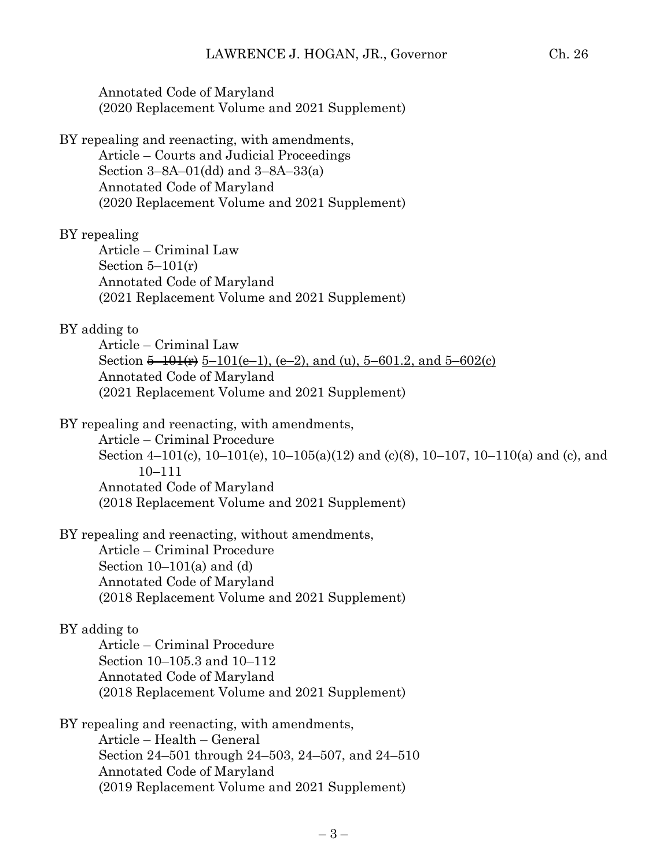Annotated Code of Maryland (2020 Replacement Volume and 2021 Supplement)

BY repealing and reenacting, with amendments, Article – Courts and Judicial Proceedings Section 3–8A–01(dd) and 3–8A–33(a) Annotated Code of Maryland (2020 Replacement Volume and 2021 Supplement)

#### BY repealing

Article – Criminal Law Section  $5-101(r)$ Annotated Code of Maryland (2021 Replacement Volume and 2021 Supplement)

#### BY adding to

Article – Criminal Law Section  $\frac{5-101(r)}{2}$  5-101(e–1), (e–2), and (u), 5-601.2, and 5-602(c) Annotated Code of Maryland (2021 Replacement Volume and 2021 Supplement)

BY repealing and reenacting, with amendments,

Article – Criminal Procedure Section 4–101(c), 10–101(e), 10–105(a)(12) and (c)(8), 10–107, 10–110(a) and (c), and 10–111 Annotated Code of Maryland (2018 Replacement Volume and 2021 Supplement)

BY repealing and reenacting, without amendments,

Article – Criminal Procedure Section  $10-101(a)$  and  $(d)$ Annotated Code of Maryland (2018 Replacement Volume and 2021 Supplement)

#### BY adding to

Article – Criminal Procedure Section 10–105.3 and 10–112 Annotated Code of Maryland (2018 Replacement Volume and 2021 Supplement)

BY repealing and reenacting, with amendments, Article – Health – General Section 24–501 through 24–503, 24–507, and 24–510 Annotated Code of Maryland (2019 Replacement Volume and 2021 Supplement)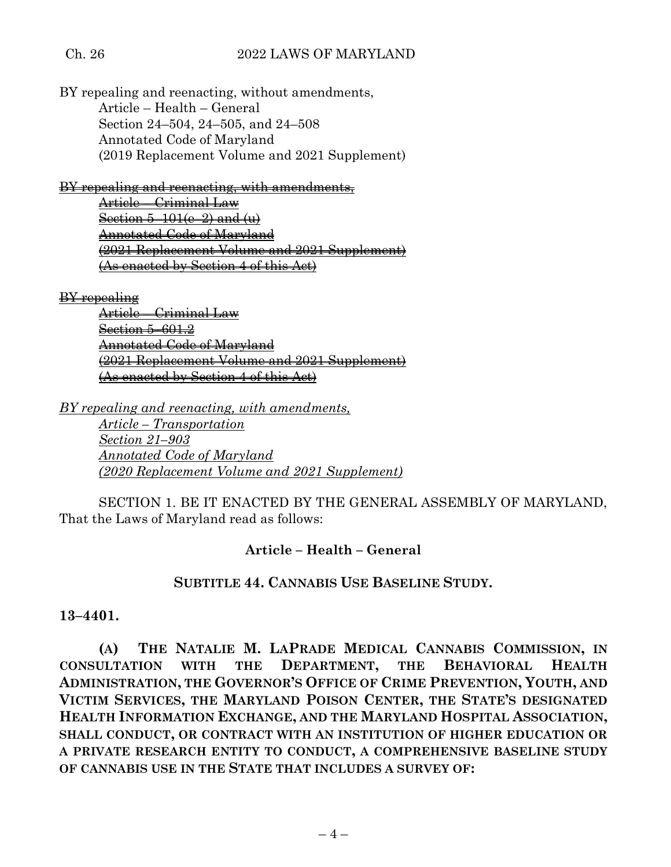BY repealing and reenacting, without amendments, Article – Health – General Section 24–504, 24–505, and 24–508 Annotated Code of Maryland (2019 Replacement Volume and 2021 Supplement)

BY repealing and reenacting, with amendments,

Article – Criminal Law Section  $5-101(e-2)$  and  $(u)$ Annotated Code of Maryland (2021 Replacement Volume and 2021 Supplement) (As enacted by Section 4 of this Act)

BY repealing

Article – Criminal Law Section 5–601.2 Annotated Code of Maryland (2021 Replacement Volume and 2021 Supplement) (As enacted by Section 4 of this Act)

*BY repealing and reenacting, with amendments,*

*Article – Transportation Section 21–903 Annotated Code of Maryland (2020 Replacement Volume and 2021 Supplement)* 

SECTION 1. BE IT ENACTED BY THE GENERAL ASSEMBLY OF MARYLAND, That the Laws of Maryland read as follows:

# **Article – Health – General**

# **SUBTITLE 44. CANNABIS USE BASELINE STUDY.**

**13–4401.**

**(A) THE NATALIE M. LAPRADE MEDICAL CANNABIS COMMISSION, IN CONSULTATION WITH THE DEPARTMENT, THE BEHAVIORAL HEALTH ADMINISTRATION, THE GOVERNOR'S OFFICE OF CRIME PREVENTION, YOUTH, AND VICTIM SERVICES, THE MARYLAND POISON CENTER, THE STATE'S DESIGNATED HEALTH INFORMATION EXCHANGE, AND THE MARYLAND HOSPITAL ASSOCIATION, SHALL CONDUCT, OR CONTRACT WITH AN INSTITUTION OF HIGHER EDUCATION OR A PRIVATE RESEARCH ENTITY TO CONDUCT, A COMPREHENSIVE BASELINE STUDY OF CANNABIS USE IN THE STATE THAT INCLUDES A SURVEY OF:**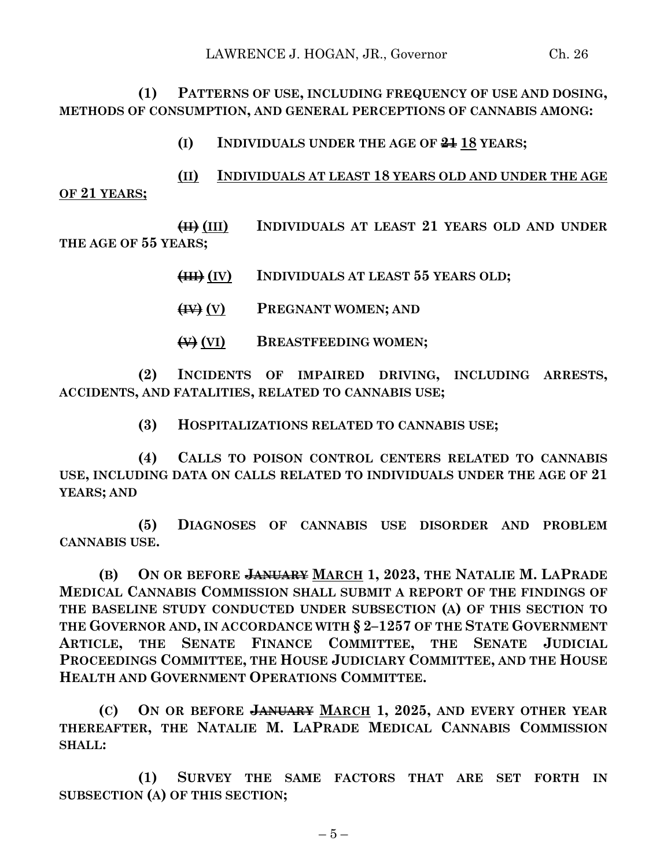**(1) PATTERNS OF USE, INCLUDING FREQUENCY OF USE AND DOSING, METHODS OF CONSUMPTION, AND GENERAL PERCEPTIONS OF CANNABIS AMONG:**

- **(I) INDIVIDUALS UNDER THE AGE OF 21 18 YEARS;**
- **(II) INDIVIDUALS AT LEAST 18 YEARS OLD AND UNDER THE AGE**

**OF 21 YEARS;**

**(II) (III) INDIVIDUALS AT LEAST 21 YEARS OLD AND UNDER THE AGE OF 55 YEARS;**

- **(III) (IV) INDIVIDUALS AT LEAST 55 YEARS OLD;**
- **(IV) (V) PREGNANT WOMEN; AND**
- **(V) (VI) BREASTFEEDING WOMEN;**

**(2) INCIDENTS OF IMPAIRED DRIVING, INCLUDING ARRESTS, ACCIDENTS, AND FATALITIES, RELATED TO CANNABIS USE;**

**(3) HOSPITALIZATIONS RELATED TO CANNABIS USE;**

**(4) CALLS TO POISON CONTROL CENTERS RELATED TO CANNABIS USE, INCLUDING DATA ON CALLS RELATED TO INDIVIDUALS UNDER THE AGE OF 21 YEARS; AND**

**(5) DIAGNOSES OF CANNABIS USE DISORDER AND PROBLEM CANNABIS USE.**

**(B) ON OR BEFORE JANUARY MARCH 1, 2023, THE NATALIE M. LAPRADE MEDICAL CANNABIS COMMISSION SHALL SUBMIT A REPORT OF THE FINDINGS OF THE BASELINE STUDY CONDUCTED UNDER SUBSECTION (A) OF THIS SECTION TO THE GOVERNOR AND, IN ACCORDANCE WITH § 2–1257 OF THE STATE GOVERNMENT ARTICLE, THE SENATE FINANCE COMMITTEE, THE SENATE JUDICIAL PROCEEDINGS COMMITTEE, THE HOUSE JUDICIARY COMMITTEE, AND THE HOUSE HEALTH AND GOVERNMENT OPERATIONS COMMITTEE.**

**(C) ON OR BEFORE JANUARY MARCH 1, 2025, AND EVERY OTHER YEAR THEREAFTER, THE NATALIE M. LAPRADE MEDICAL CANNABIS COMMISSION SHALL:**

**(1) SURVEY THE SAME FACTORS THAT ARE SET FORTH IN SUBSECTION (A) OF THIS SECTION;**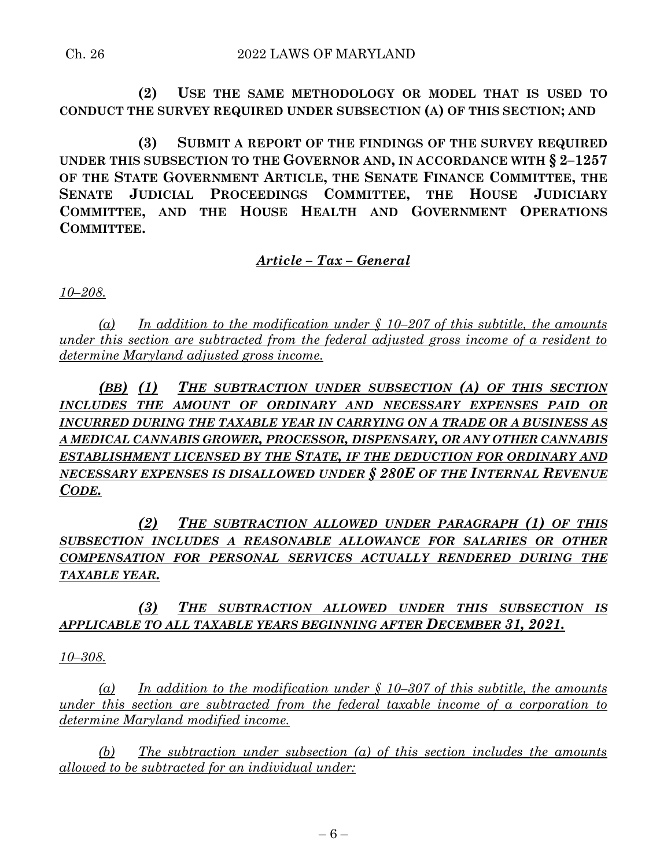**(2) USE THE SAME METHODOLOGY OR MODEL THAT IS USED TO CONDUCT THE SURVEY REQUIRED UNDER SUBSECTION (A) OF THIS SECTION; AND** 

**(3) SUBMIT A REPORT OF THE FINDINGS OF THE SURVEY REQUIRED UNDER THIS SUBSECTION TO THE GOVERNOR AND, IN ACCORDANCE WITH § 2–1257 OF THE STATE GOVERNMENT ARTICLE, THE SENATE FINANCE COMMITTEE, THE SENATE JUDICIAL PROCEEDINGS COMMITTEE, THE HOUSE JUDICIARY COMMITTEE, AND THE HOUSE HEALTH AND GOVERNMENT OPERATIONS COMMITTEE.**

# *Article – Tax – General*

*10–208.*

*(a) In addition to the modification under § 10–207 of this subtitle, the amounts under this section are subtracted from the federal adjusted gross income of a resident to determine Maryland adjusted gross income.*

*(BB) (1) THE SUBTRACTION UNDER SUBSECTION (A) OF THIS SECTION INCLUDES THE AMOUNT OF ORDINARY AND NECESSARY EXPENSES PAID OR INCURRED DURING THE TAXABLE YEAR IN CARRYING ON A TRADE OR A BUSINESS AS A MEDICAL CANNABIS GROWER, PROCESSOR, DISPENSARY, OR ANY OTHER CANNABIS ESTABLISHMENT LICENSED BY THE STATE, IF THE DEDUCTION FOR ORDINARY AND NECESSARY EXPENSES IS DISALLOWED UNDER § 280E OF THE INTERNAL REVENUE CODE.*

*(2) THE SUBTRACTION ALLOWED UNDER PARAGRAPH (1) OF THIS SUBSECTION INCLUDES A REASONABLE ALLOWANCE FOR SALARIES OR OTHER COMPENSATION FOR PERSONAL SERVICES ACTUALLY RENDERED DURING THE TAXABLE YEAR.*

*(3) THE SUBTRACTION ALLOWED UNDER THIS SUBSECTION IS APPLICABLE TO ALL TAXABLE YEARS BEGINNING AFTER DECEMBER 31, 2021.*

*10–308.*

*(a) In addition to the modification under § 10–307 of this subtitle, the amounts under this section are subtracted from the federal taxable income of a corporation to determine Maryland modified income.*

*(b) The subtraction under subsection (a) of this section includes the amounts allowed to be subtracted for an individual under:*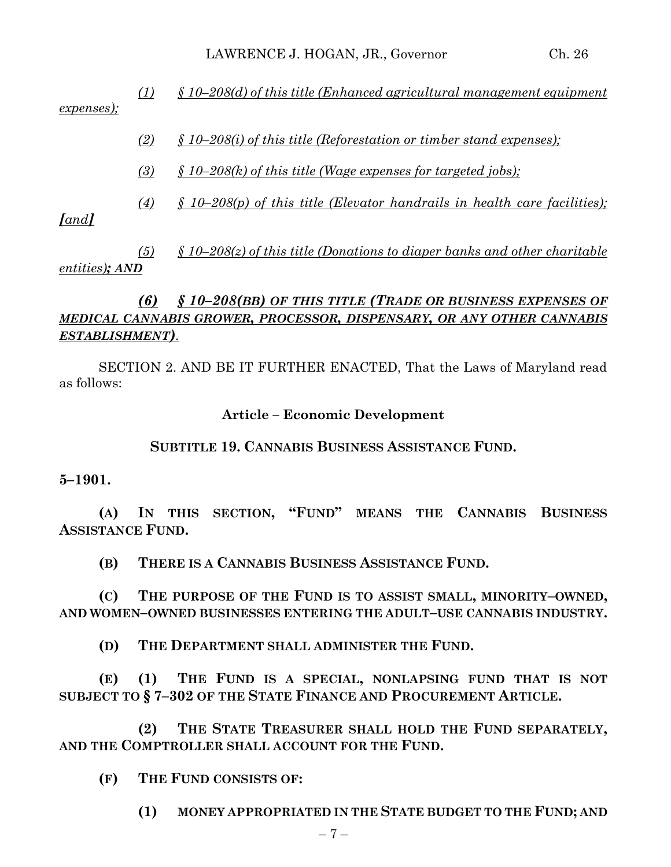*(1) § 10–208(d) of this title (Enhanced agricultural management equipment expenses);*

- *(2) § 10–208(i) of this title (Reforestation or timber stand expenses);*
- *(3) § 10–208(k) of this title (Wage expenses for targeted jobs);*

*(4) § 10–208(p) of this title (Elevator handrails in health care facilities);* 

*[and]*

*(5) § 10–208(z) of this title (Donations to diaper banks and other charitable entities); AND*

# *(6) § 10–208(BB) OF THIS TITLE (TRADE OR BUSINESS EXPENSES OF MEDICAL CANNABIS GROWER, PROCESSOR, DISPENSARY, OR ANY OTHER CANNABIS ESTABLISHMENT).*

SECTION 2. AND BE IT FURTHER ENACTED, That the Laws of Maryland read as follows:

**Article – Economic Development**

# **SUBTITLE 19. CANNABIS BUSINESS ASSISTANCE FUND.**

**5–1901.**

**(A) IN THIS SECTION, "FUND" MEANS THE CANNABIS BUSINESS ASSISTANCE FUND.**

**(B) THERE IS A CANNABIS BUSINESS ASSISTANCE FUND.**

**(C) THE PURPOSE OF THE FUND IS TO ASSIST SMALL, MINORITY–OWNED, AND WOMEN–OWNED BUSINESSES ENTERING THE ADULT–USE CANNABIS INDUSTRY.**

**(D) THE DEPARTMENT SHALL ADMINISTER THE FUND.**

**(E) (1) THE FUND IS A SPECIAL, NONLAPSING FUND THAT IS NOT SUBJECT TO § 7–302 OF THE STATE FINANCE AND PROCUREMENT ARTICLE.**

**(2) THE STATE TREASURER SHALL HOLD THE FUND SEPARATELY, AND THE COMPTROLLER SHALL ACCOUNT FOR THE FUND.**

**(F) THE FUND CONSISTS OF:**

**(1) MONEY APPROPRIATED IN THE STATE BUDGET TO THE FUND; AND**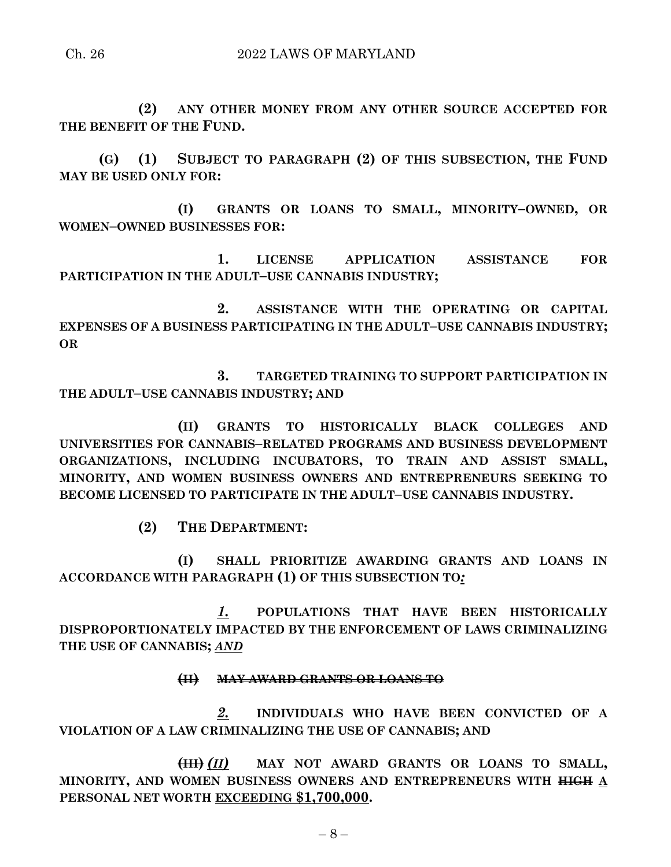#### Ch. 26 2022 LAWS OF MARYLAND

**(2) ANY OTHER MONEY FROM ANY OTHER SOURCE ACCEPTED FOR THE BENEFIT OF THE FUND.**

**(G) (1) SUBJECT TO PARAGRAPH (2) OF THIS SUBSECTION, THE FUND MAY BE USED ONLY FOR:**

**(I) GRANTS OR LOANS TO SMALL, MINORITY–OWNED, OR WOMEN–OWNED BUSINESSES FOR:**

**1. LICENSE APPLICATION ASSISTANCE FOR PARTICIPATION IN THE ADULT–USE CANNABIS INDUSTRY;**

**2. ASSISTANCE WITH THE OPERATING OR CAPITAL EXPENSES OF A BUSINESS PARTICIPATING IN THE ADULT–USE CANNABIS INDUSTRY; OR**

**3. TARGETED TRAINING TO SUPPORT PARTICIPATION IN THE ADULT–USE CANNABIS INDUSTRY; AND**

**(II) GRANTS TO HISTORICALLY BLACK COLLEGES AND UNIVERSITIES FOR CANNABIS–RELATED PROGRAMS AND BUSINESS DEVELOPMENT ORGANIZATIONS, INCLUDING INCUBATORS, TO TRAIN AND ASSIST SMALL, MINORITY, AND WOMEN BUSINESS OWNERS AND ENTREPRENEURS SEEKING TO BECOME LICENSED TO PARTICIPATE IN THE ADULT–USE CANNABIS INDUSTRY.**

**(2) THE DEPARTMENT:**

**(I) SHALL PRIORITIZE AWARDING GRANTS AND LOANS IN ACCORDANCE WITH PARAGRAPH (1) OF THIS SUBSECTION TO***:*

*1.* **POPULATIONS THAT HAVE BEEN HISTORICALLY DISPROPORTIONATELY IMPACTED BY THE ENFORCEMENT OF LAWS CRIMINALIZING THE USE OF CANNABIS;** *AND*

#### **(II) MAY AWARD GRANTS OR LOANS TO**

*2.* **INDIVIDUALS WHO HAVE BEEN CONVICTED OF A VIOLATION OF A LAW CRIMINALIZING THE USE OF CANNABIS; AND**

**(III)** *(II)* **MAY NOT AWARD GRANTS OR LOANS TO SMALL, MINORITY, AND WOMEN BUSINESS OWNERS AND ENTREPRENEURS WITH HIGH A PERSONAL NET WORTH EXCEEDING \$1,700,000.**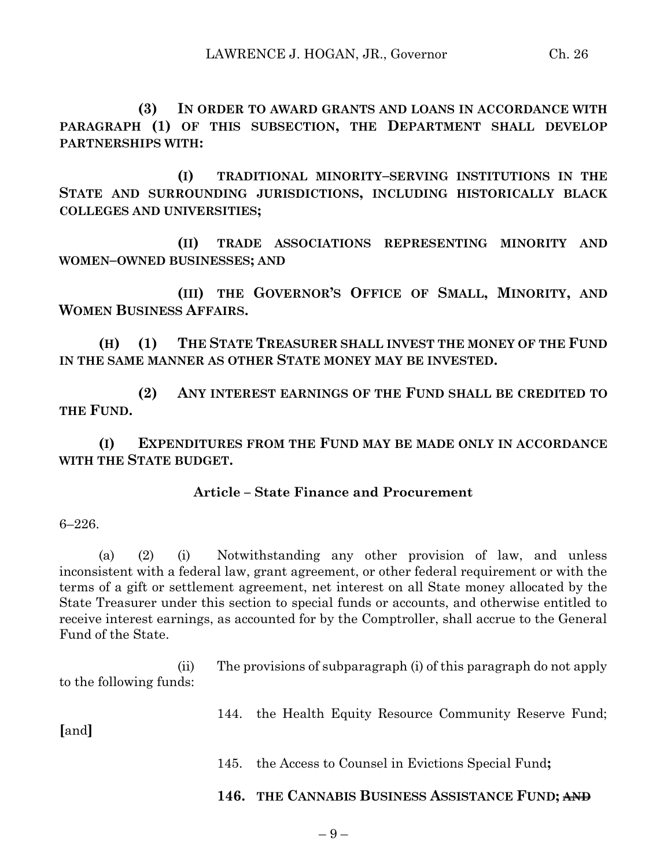**(3) IN ORDER TO AWARD GRANTS AND LOANS IN ACCORDANCE WITH PARAGRAPH (1) OF THIS SUBSECTION, THE DEPARTMENT SHALL DEVELOP PARTNERSHIPS WITH:**

**(I) TRADITIONAL MINORITY–SERVING INSTITUTIONS IN THE STATE AND SURROUNDING JURISDICTIONS, INCLUDING HISTORICALLY BLACK COLLEGES AND UNIVERSITIES;**

**(II) TRADE ASSOCIATIONS REPRESENTING MINORITY AND WOMEN–OWNED BUSINESSES; AND**

**(III) THE GOVERNOR'S OFFICE OF SMALL, MINORITY, AND WOMEN BUSINESS AFFAIRS.**

**(H) (1) THE STATE TREASURER SHALL INVEST THE MONEY OF THE FUND IN THE SAME MANNER AS OTHER STATE MONEY MAY BE INVESTED.**

**(2) ANY INTEREST EARNINGS OF THE FUND SHALL BE CREDITED TO THE FUND.**

**(I) EXPENDITURES FROM THE FUND MAY BE MADE ONLY IN ACCORDANCE WITH THE STATE BUDGET.**

#### **Article – State Finance and Procurement**

6–226.

(a) (2) (i) Notwithstanding any other provision of law, and unless inconsistent with a federal law, grant agreement, or other federal requirement or with the terms of a gift or settlement agreement, net interest on all State money allocated by the State Treasurer under this section to special funds or accounts, and otherwise entitled to receive interest earnings, as accounted for by the Comptroller, shall accrue to the General Fund of the State.

(ii) The provisions of subparagraph (i) of this paragraph do not apply to the following funds:

144. the Health Equity Resource Community Reserve Fund;

**[**and**]**

145. the Access to Counsel in Evictions Special Fund**;**

# **146. THE CANNABIS BUSINESS ASSISTANCE FUND; AND**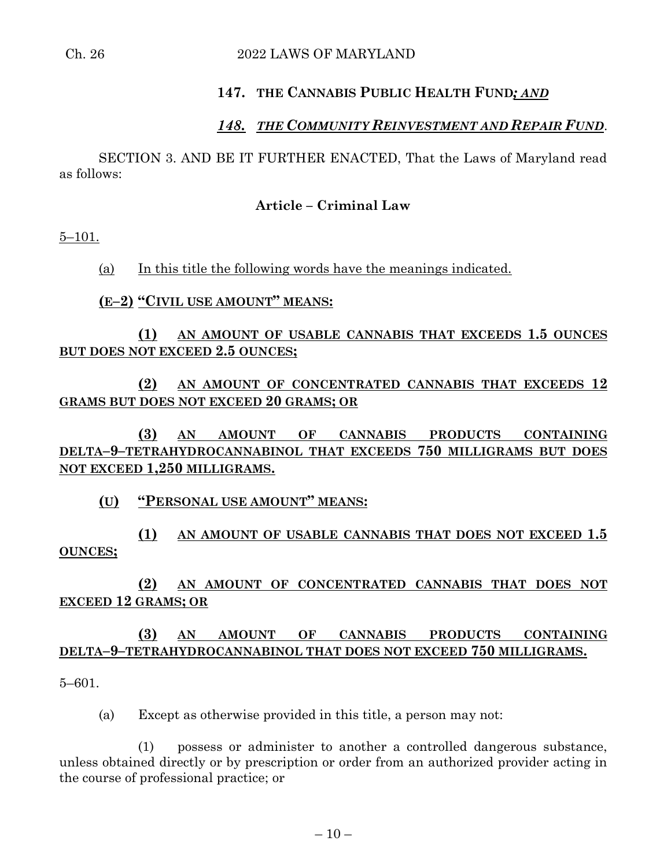#### Ch. 26 2022 LAWS OF MARYLAND

#### **147. THE CANNABIS PUBLIC HEALTH FUND***; AND*

# *148. THE COMMUNITY REINVESTMENT AND REPAIR FUND*.

SECTION 3. AND BE IT FURTHER ENACTED, That the Laws of Maryland read as follows:

#### **Article – Criminal Law**

 $5 - 101.$ 

(a) In this title the following words have the meanings indicated.

#### **(E–2) "CIVIL USE AMOUNT" MEANS:**

#### **(1) AN AMOUNT OF USABLE CANNABIS THAT EXCEEDS 1.5 OUNCES BUT DOES NOT EXCEED 2.5 OUNCES;**

#### **(2) AN AMOUNT OF CONCENTRATED CANNABIS THAT EXCEEDS 12 GRAMS BUT DOES NOT EXCEED 20 GRAMS; OR**

**(3) AN AMOUNT OF CANNABIS PRODUCTS CONTAINING DELTA–9–TETRAHYDROCANNABINOL THAT EXCEEDS 750 MILLIGRAMS BUT DOES NOT EXCEED 1,250 MILLIGRAMS.**

#### **(U) "PERSONAL USE AMOUNT" MEANS:**

# **(1) AN AMOUNT OF USABLE CANNABIS THAT DOES NOT EXCEED 1.5 OUNCES;**

# **(2) AN AMOUNT OF CONCENTRATED CANNABIS THAT DOES NOT EXCEED 12 GRAMS; OR**

# **(3) AN AMOUNT OF CANNABIS PRODUCTS CONTAINING DELTA–9–TETRAHYDROCANNABINOL THAT DOES NOT EXCEED 750 MILLIGRAMS.**

5–601.

(a) Except as otherwise provided in this title, a person may not:

(1) possess or administer to another a controlled dangerous substance, unless obtained directly or by prescription or order from an authorized provider acting in the course of professional practice; or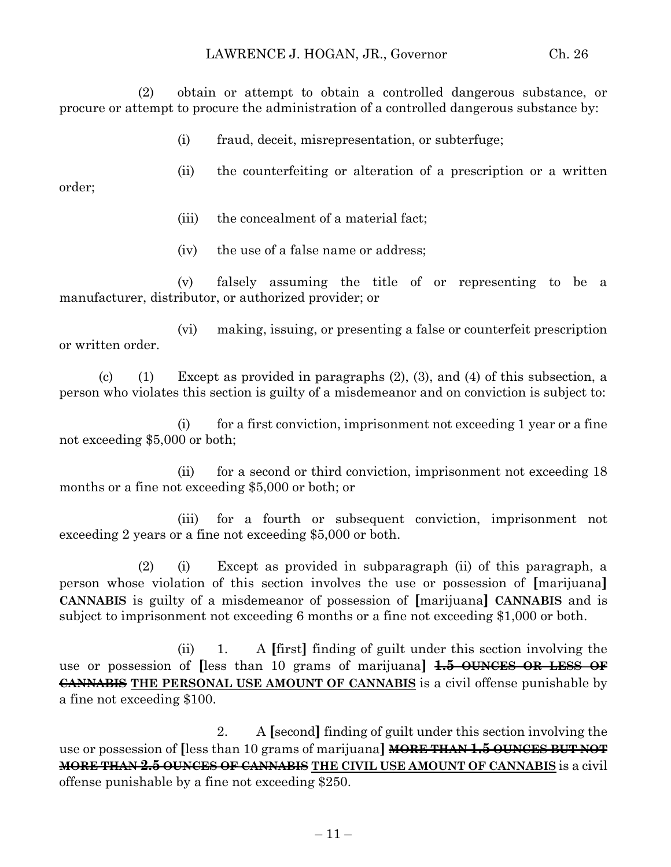(2) obtain or attempt to obtain a controlled dangerous substance, or procure or attempt to procure the administration of a controlled dangerous substance by:

(i) fraud, deceit, misrepresentation, or subterfuge;

(ii) the counterfeiting or alteration of a prescription or a written order;

- (iii) the concealment of a material fact;
- (iv) the use of a false name or address;

(v) falsely assuming the title of or representing to be a manufacturer, distributor, or authorized provider; or

(vi) making, issuing, or presenting a false or counterfeit prescription or written order.

(c) (1) Except as provided in paragraphs  $(2)$ ,  $(3)$ , and  $(4)$  of this subsection, a person who violates this section is guilty of a misdemeanor and on conviction is subject to:

(i) for a first conviction, imprisonment not exceeding 1 year or a fine not exceeding \$5,000 or both;

(ii) for a second or third conviction, imprisonment not exceeding 18 months or a fine not exceeding \$5,000 or both; or

(iii) for a fourth or subsequent conviction, imprisonment not exceeding 2 years or a fine not exceeding \$5,000 or both.

(2) (i) Except as provided in subparagraph (ii) of this paragraph, a person whose violation of this section involves the use or possession of **[**marijuana**] CANNABIS** is guilty of a misdemeanor of possession of **[**marijuana**] CANNABIS** and is subject to imprisonment not exceeding 6 months or a fine not exceeding \$1,000 or both.

(ii) 1. A **[**first**]** finding of guilt under this section involving the use or possession of **[**less than 10 grams of marijuana**] 1.5 OUNCES OR LESS OF CANNABIS THE PERSONAL USE AMOUNT OF CANNABIS** is a civil offense punishable by a fine not exceeding \$100.

2. A **[**second**]** finding of guilt under this section involving the use or possession of **[**less than 10 grams of marijuana**] MORE THAN 1.5 OUNCES BUT NOT MORE THAN 2.5 OUNCES OF CANNABIS THE CIVIL USE AMOUNT OF CANNABIS** is a civil offense punishable by a fine not exceeding \$250.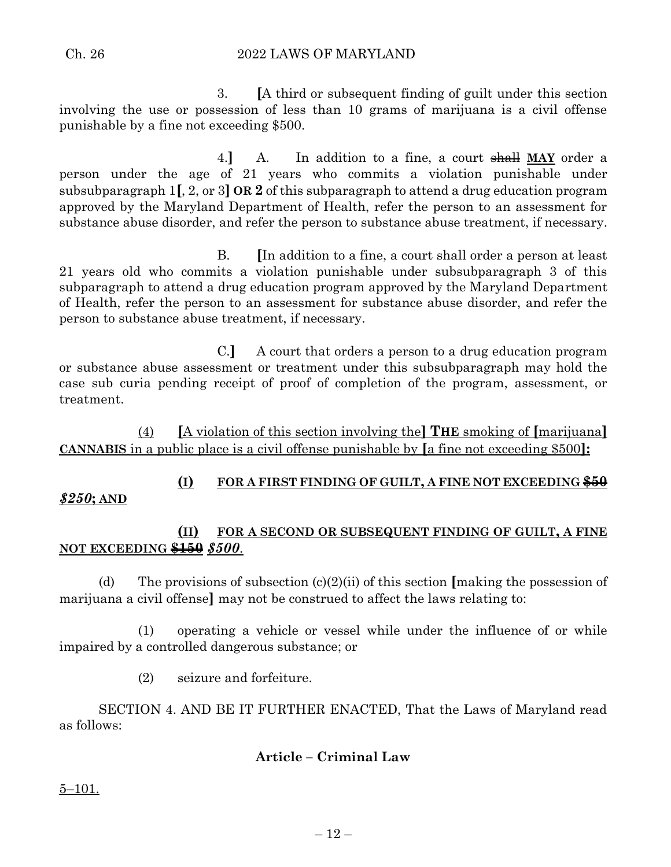Ch. 26 2022 LAWS OF MARYLAND

3. **[**A third or subsequent finding of guilt under this section involving the use or possession of less than 10 grams of marijuana is a civil offense punishable by a fine not exceeding \$500.

4.**]** A. In addition to a fine, a court shall **MAY** order a person under the age of 21 years who commits a violation punishable under subsubparagraph 1**[**, 2, or 3**] OR 2** of this subparagraph to attend a drug education program approved by the Maryland Department of Health, refer the person to an assessment for substance abuse disorder, and refer the person to substance abuse treatment, if necessary.

B. **[**In addition to a fine, a court shall order a person at least 21 years old who commits a violation punishable under subsubparagraph 3 of this subparagraph to attend a drug education program approved by the Maryland Department of Health, refer the person to an assessment for substance abuse disorder, and refer the person to substance abuse treatment, if necessary.

C.**]** A court that orders a person to a drug education program or substance abuse assessment or treatment under this subsubparagraph may hold the case sub curia pending receipt of proof of completion of the program, assessment, or treatment.

(4) **[**A violation of this section involving the**] THE** smoking of **[**marijuana**] CANNABIS** in a public place is a civil offense punishable by **[**a fine not exceeding \$500**]:**

# **(I) FOR A FIRST FINDING OF GUILT, A FINE NOT EXCEEDING \$50**

# *\$250***; AND**

# **(II) FOR A SECOND OR SUBSEQUENT FINDING OF GUILT, A FINE NOT EXCEEDING \$150** *\$500*.

(d) The provisions of subsection (c)(2)(ii) of this section **[**making the possession of marijuana a civil offense**]** may not be construed to affect the laws relating to:

(1) operating a vehicle or vessel while under the influence of or while impaired by a controlled dangerous substance; or

(2) seizure and forfeiture.

SECTION 4. AND BE IT FURTHER ENACTED, That the Laws of Maryland read as follows:

# **Article – Criminal Law**

5–101.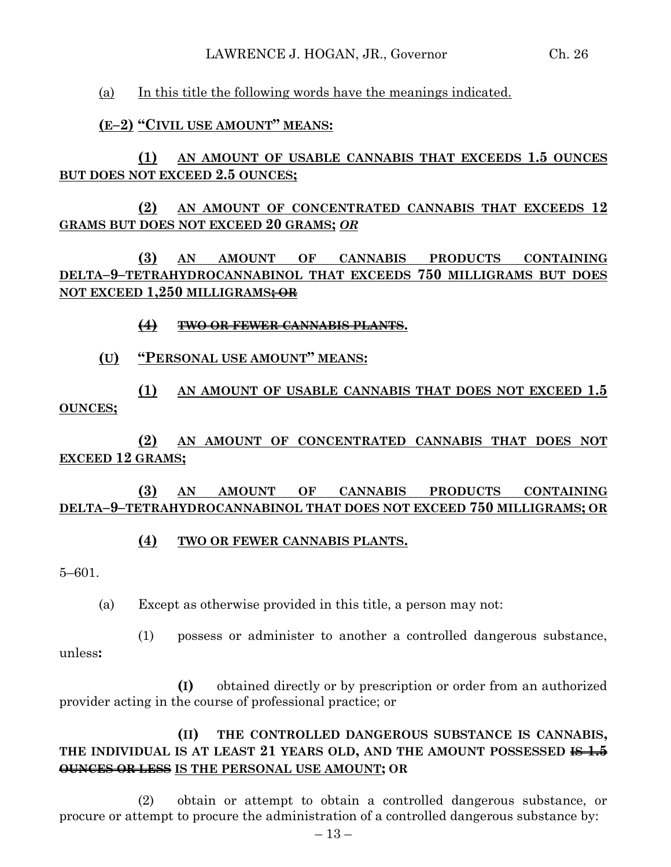(a) In this title the following words have the meanings indicated.

# **(E–2) "CIVIL USE AMOUNT" MEANS:**

**(1) AN AMOUNT OF USABLE CANNABIS THAT EXCEEDS 1.5 OUNCES BUT DOES NOT EXCEED 2.5 OUNCES;**

**(2) AN AMOUNT OF CONCENTRATED CANNABIS THAT EXCEEDS 12 GRAMS BUT DOES NOT EXCEED 20 GRAMS;** *OR*

**(3) AN AMOUNT OF CANNABIS PRODUCTS CONTAINING DELTA–9–TETRAHYDROCANNABINOL THAT EXCEEDS 750 MILLIGRAMS BUT DOES NOT EXCEED 1,250 MILLIGRAMS; OR** 

#### **(4) TWO OR FEWER CANNABIS PLANTS.**

# **(U) "PERSONAL USE AMOUNT" MEANS:**

**(1) AN AMOUNT OF USABLE CANNABIS THAT DOES NOT EXCEED 1.5 OUNCES;**

**(2) AN AMOUNT OF CONCENTRATED CANNABIS THAT DOES NOT EXCEED 12 GRAMS;**

**(3) AN AMOUNT OF CANNABIS PRODUCTS CONTAINING DELTA–9–TETRAHYDROCANNABINOL THAT DOES NOT EXCEED 750 MILLIGRAMS; OR** 

# **(4) TWO OR FEWER CANNABIS PLANTS.**

5–601.

(a) Except as otherwise provided in this title, a person may not:

(1) possess or administer to another a controlled dangerous substance, unless**:**

**(I)** obtained directly or by prescription or order from an authorized provider acting in the course of professional practice; or

# **(II) THE CONTROLLED DANGEROUS SUBSTANCE IS CANNABIS, THE INDIVIDUAL IS AT LEAST 21 YEARS OLD, AND THE AMOUNT POSSESSED IS 1.5 OUNCES OR LESS IS THE PERSONAL USE AMOUNT; OR**

(2) obtain or attempt to obtain a controlled dangerous substance, or procure or attempt to procure the administration of a controlled dangerous substance by: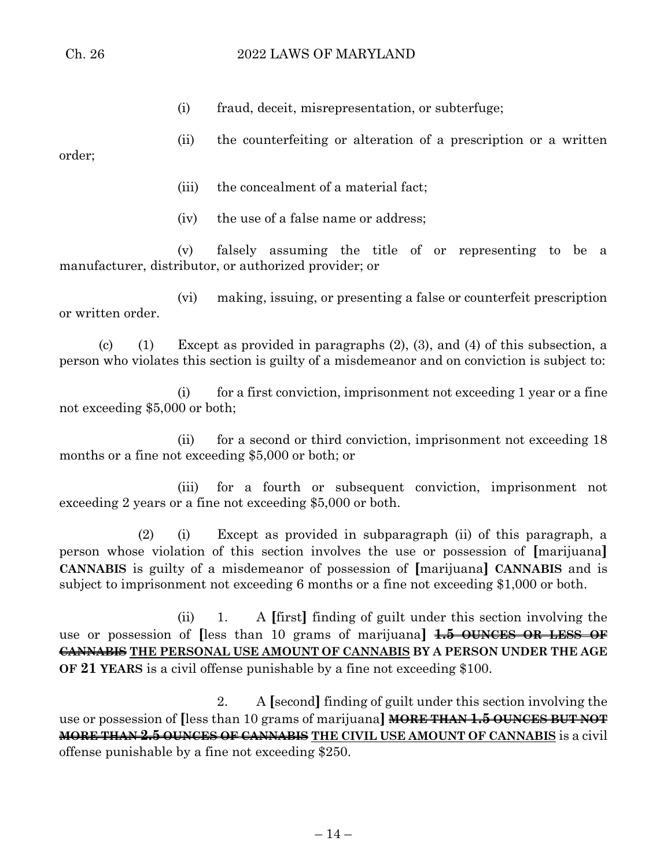(i) fraud, deceit, misrepresentation, or subterfuge;

(ii) the counterfeiting or alteration of a prescription or a written

order;

- (iii) the concealment of a material fact;
- (iv) the use of a false name or address;

(v) falsely assuming the title of or representing to be a manufacturer, distributor, or authorized provider; or

(vi) making, issuing, or presenting a false or counterfeit prescription or written order.

(c) (1) Except as provided in paragraphs  $(2)$ ,  $(3)$ , and  $(4)$  of this subsection, a person who violates this section is guilty of a misdemeanor and on conviction is subject to:

(i) for a first conviction, imprisonment not exceeding 1 year or a fine not exceeding \$5,000 or both;

(ii) for a second or third conviction, imprisonment not exceeding 18 months or a fine not exceeding \$5,000 or both; or

(iii) for a fourth or subsequent conviction, imprisonment not exceeding 2 years or a fine not exceeding \$5,000 or both.

(2) (i) Except as provided in subparagraph (ii) of this paragraph, a person whose violation of this section involves the use or possession of **[**marijuana**] CANNABIS** is guilty of a misdemeanor of possession of **[**marijuana**] CANNABIS** and is subject to imprisonment not exceeding 6 months or a fine not exceeding \$1,000 or both.

(ii) 1. A **[**first**]** finding of guilt under this section involving the use or possession of **[**less than 10 grams of marijuana**] 1.5 OUNCES OR LESS OF CANNABIS THE PERSONAL USE AMOUNT OF CANNABIS BY A PERSON UNDER THE AGE OF 21 YEARS** is a civil offense punishable by a fine not exceeding \$100.

2. A **[**second**]** finding of guilt under this section involving the use or possession of **[**less than 10 grams of marijuana**] MORE THAN 1.5 OUNCES BUT NOT MORE THAN 2.5 OUNCES OF CANNABIS THE CIVIL USE AMOUNT OF CANNABIS** is a civil offense punishable by a fine not exceeding \$250.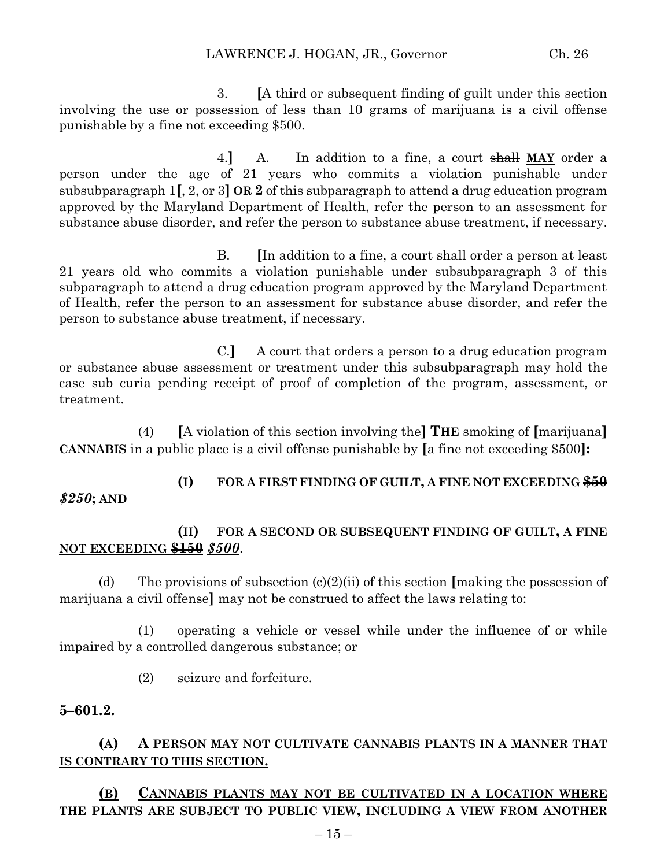3. **[**A third or subsequent finding of guilt under this section involving the use or possession of less than 10 grams of marijuana is a civil offense punishable by a fine not exceeding \$500.

4.**]** A. In addition to a fine, a court shall **MAY** order a person under the age of 21 years who commits a violation punishable under subsubparagraph 1**[**, 2, or 3**] OR 2** of this subparagraph to attend a drug education program approved by the Maryland Department of Health, refer the person to an assessment for substance abuse disorder, and refer the person to substance abuse treatment, if necessary.

B. **[**In addition to a fine, a court shall order a person at least 21 years old who commits a violation punishable under subsubparagraph 3 of this subparagraph to attend a drug education program approved by the Maryland Department of Health, refer the person to an assessment for substance abuse disorder, and refer the person to substance abuse treatment, if necessary.

C.**]** A court that orders a person to a drug education program or substance abuse assessment or treatment under this subsubparagraph may hold the case sub curia pending receipt of proof of completion of the program, assessment, or treatment.

(4) **[**A violation of this section involving the**] THE** smoking of **[**marijuana**] CANNABIS** in a public place is a civil offense punishable by **[**a fine not exceeding \$500**]:**

# **(I) FOR A FIRST FINDING OF GUILT, A FINE NOT EXCEEDING \$50**

# *\$250***; AND**

# **(II) FOR A SECOND OR SUBSEQUENT FINDING OF GUILT, A FINE NOT EXCEEDING \$150** *\$500*.

(d) The provisions of subsection (c)(2)(ii) of this section **[**making the possession of marijuana a civil offense**]** may not be construed to affect the laws relating to:

(1) operating a vehicle or vessel while under the influence of or while impaired by a controlled dangerous substance; or

(2) seizure and forfeiture.

# **5–601.2.**

# **(A) A PERSON MAY NOT CULTIVATE CANNABIS PLANTS IN A MANNER THAT IS CONTRARY TO THIS SECTION.**

# **(B) CANNABIS PLANTS MAY NOT BE CULTIVATED IN A LOCATION WHERE THE PLANTS ARE SUBJECT TO PUBLIC VIEW, INCLUDING A VIEW FROM ANOTHER**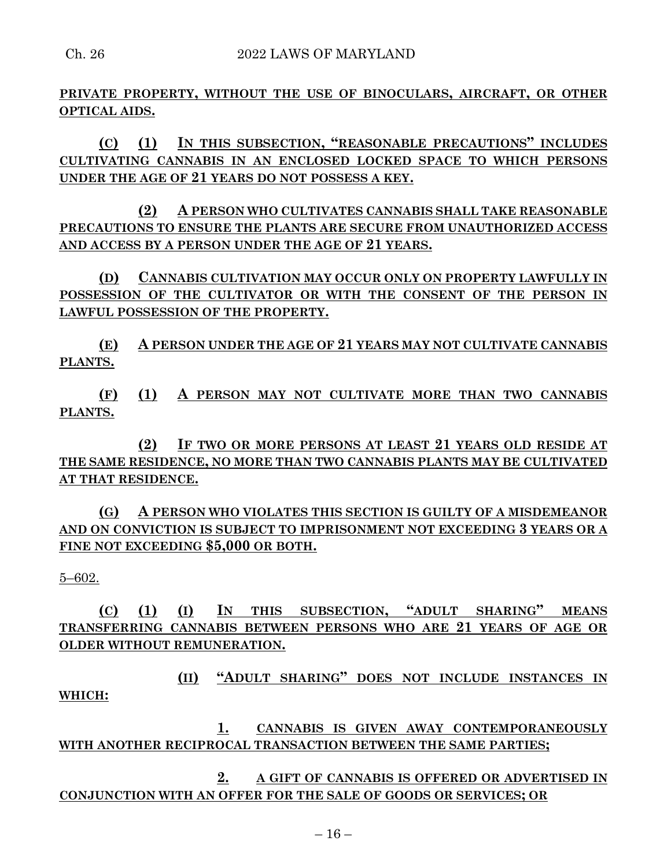**PRIVATE PROPERTY, WITHOUT THE USE OF BINOCULARS, AIRCRAFT, OR OTHER OPTICAL AIDS.**

**(C) (1) IN THIS SUBSECTION, "REASONABLE PRECAUTIONS" INCLUDES CULTIVATING CANNABIS IN AN ENCLOSED LOCKED SPACE TO WHICH PERSONS UNDER THE AGE OF 21 YEARS DO NOT POSSESS A KEY.**

**(2) A PERSON WHO CULTIVATES CANNABIS SHALL TAKE REASONABLE PRECAUTIONS TO ENSURE THE PLANTS ARE SECURE FROM UNAUTHORIZED ACCESS AND ACCESS BY A PERSON UNDER THE AGE OF 21 YEARS.**

**(D) CANNABIS CULTIVATION MAY OCCUR ONLY ON PROPERTY LAWFULLY IN POSSESSION OF THE CULTIVATOR OR WITH THE CONSENT OF THE PERSON IN LAWFUL POSSESSION OF THE PROPERTY.**

**(E) A PERSON UNDER THE AGE OF 21 YEARS MAY NOT CULTIVATE CANNABIS PLANTS.**

**(F) (1) A PERSON MAY NOT CULTIVATE MORE THAN TWO CANNABIS PLANTS.**

**(2) IF TWO OR MORE PERSONS AT LEAST 21 YEARS OLD RESIDE AT THE SAME RESIDENCE, NO MORE THAN TWO CANNABIS PLANTS MAY BE CULTIVATED AT THAT RESIDENCE.**

**(G) A PERSON WHO VIOLATES THIS SECTION IS GUILTY OF A MISDEMEANOR AND ON CONVICTION IS SUBJECT TO IMPRISONMENT NOT EXCEEDING 3 YEARS OR A FINE NOT EXCEEDING \$5,000 OR BOTH.**

5–602.

**(C) (1) (I) IN THIS SUBSECTION, "ADULT SHARING" MEANS TRANSFERRING CANNABIS BETWEEN PERSONS WHO ARE 21 YEARS OF AGE OR OLDER WITHOUT REMUNERATION.**

**(II) "ADULT SHARING" DOES NOT INCLUDE INSTANCES IN WHICH:**

**1. CANNABIS IS GIVEN AWAY CONTEMPORANEOUSLY WITH ANOTHER RECIPROCAL TRANSACTION BETWEEN THE SAME PARTIES;**

**2. A GIFT OF CANNABIS IS OFFERED OR ADVERTISED IN CONJUNCTION WITH AN OFFER FOR THE SALE OF GOODS OR SERVICES; OR**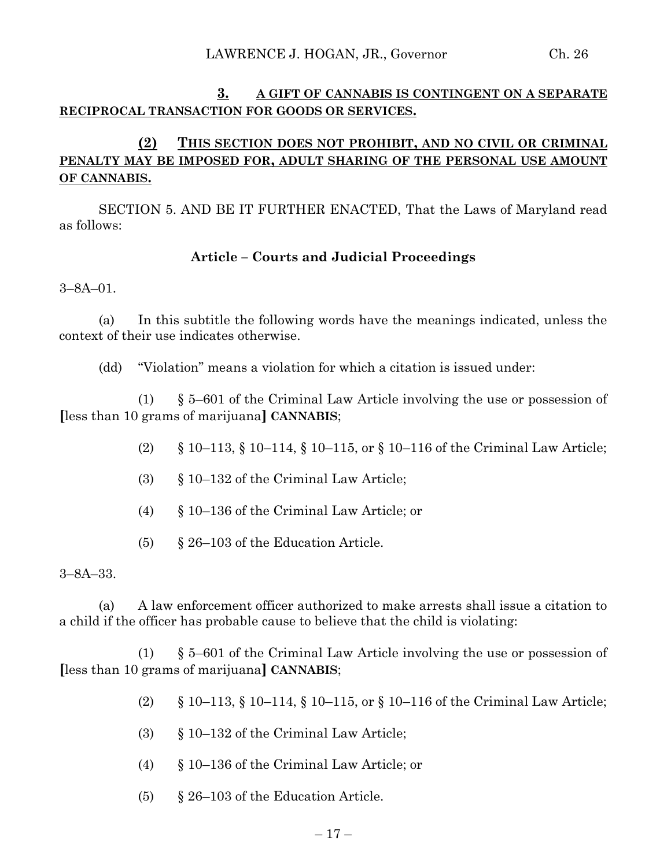#### **3. A GIFT OF CANNABIS IS CONTINGENT ON A SEPARATE RECIPROCAL TRANSACTION FOR GOODS OR SERVICES.**

# **(2) THIS SECTION DOES NOT PROHIBIT, AND NO CIVIL OR CRIMINAL PENALTY MAY BE IMPOSED FOR, ADULT SHARING OF THE PERSONAL USE AMOUNT OF CANNABIS.**

SECTION 5. AND BE IT FURTHER ENACTED, That the Laws of Maryland read as follows:

# **Article – Courts and Judicial Proceedings**

3–8A–01.

(a) In this subtitle the following words have the meanings indicated, unless the context of their use indicates otherwise.

(dd) "Violation" means a violation for which a citation is issued under:

(1) § 5–601 of the Criminal Law Article involving the use or possession of **[**less than 10 grams of marijuana**] CANNABIS**;

- (2) § 10–113, § 10–114, § 10–115, or § 10–116 of the Criminal Law Article;
- (3) § 10–132 of the Criminal Law Article;
- (4) § 10–136 of the Criminal Law Article; or
- (5) § 26–103 of the Education Article.

3–8A–33.

(a) A law enforcement officer authorized to make arrests shall issue a citation to a child if the officer has probable cause to believe that the child is violating:

(1) § 5–601 of the Criminal Law Article involving the use or possession of **[**less than 10 grams of marijuana**] CANNABIS**;

- (2) § 10–113, § 10–114, § 10–115, or § 10–116 of the Criminal Law Article;
- (3) § 10–132 of the Criminal Law Article;
- (4) § 10–136 of the Criminal Law Article; or
- (5) § 26–103 of the Education Article.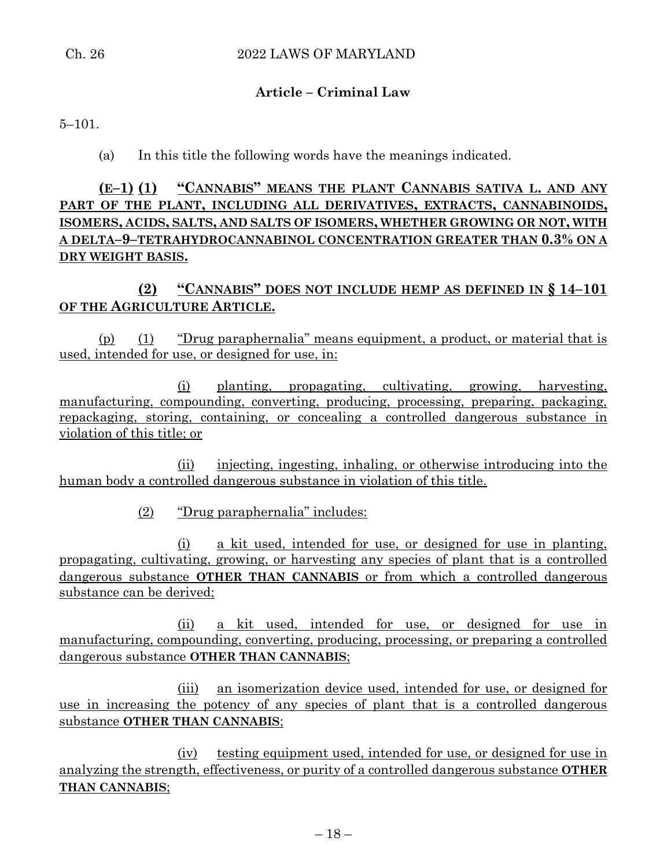# **Article – Criminal Law**

5–101.

(a) In this title the following words have the meanings indicated.

**(E–1) (1) "CANNABIS" MEANS THE PLANT CANNABIS SATIVA L. AND ANY PART OF THE PLANT, INCLUDING ALL DERIVATIVES, EXTRACTS, CANNABINOIDS, ISOMERS, ACIDS, SALTS, AND SALTS OF ISOMERS, WHETHER GROWING OR NOT, WITH A DELTA–9–TETRAHYDROCANNABINOL CONCENTRATION GREATER THAN 0.3% ON A DRY WEIGHT BASIS.**

**(2) "CANNABIS" DOES NOT INCLUDE HEMP AS DEFINED IN § 14–101 OF THE AGRICULTURE ARTICLE.**

(p) (1) "Drug paraphernalia" means equipment, a product, or material that is used, intended for use, or designed for use, in:

(i) planting, propagating, cultivating, growing, harvesting, manufacturing, compounding, converting, producing, processing, preparing, packaging, repackaging, storing, containing, or concealing a controlled dangerous substance in violation of this title; or

(ii) injecting, ingesting, inhaling, or otherwise introducing into the human body a controlled dangerous substance in violation of this title.

(2) "Drug paraphernalia" includes:

(i) a kit used, intended for use, or designed for use in planting, propagating, cultivating, growing, or harvesting any species of plant that is a controlled dangerous substance **OTHER THAN CANNABIS** or from which a controlled dangerous substance can be derived;

(ii) a kit used, intended for use, or designed for use in manufacturing, compounding, converting, producing, processing, or preparing a controlled dangerous substance **OTHER THAN CANNABIS**;

(iii) an isomerization device used, intended for use, or designed for use in increasing the potency of any species of plant that is a controlled dangerous substance **OTHER THAN CANNABIS**;

(iv) testing equipment used, intended for use, or designed for use in analyzing the strength, effectiveness, or purity of a controlled dangerous substance **OTHER THAN CANNABIS**;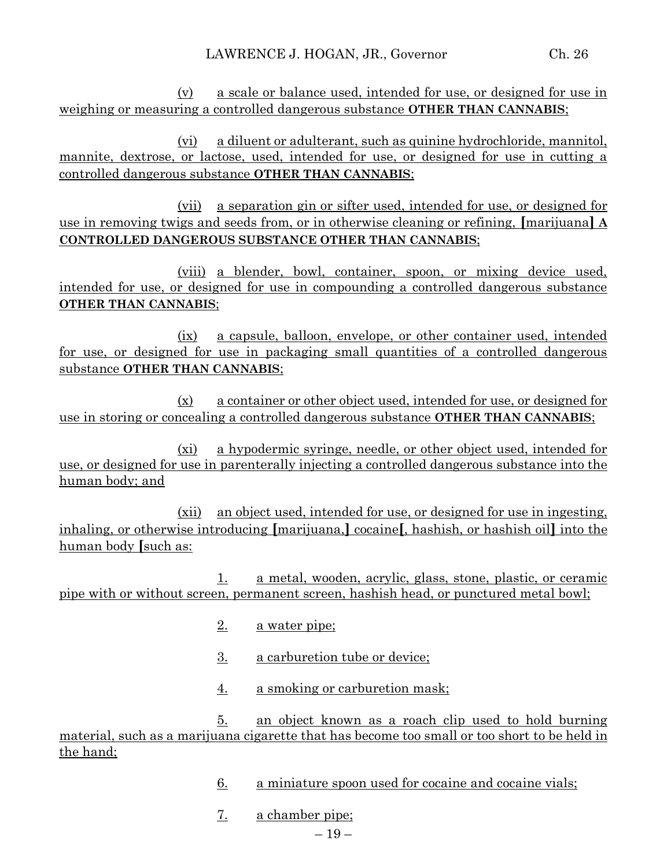(v) a scale or balance used, intended for use, or designed for use in weighing or measuring a controlled dangerous substance **OTHER THAN CANNABIS**;

(vi) a diluent or adulterant, such as quinine hydrochloride, mannitol, mannite, dextrose, or lactose, used, intended for use, or designed for use in cutting a controlled dangerous substance **OTHER THAN CANNABIS**;

(vii) a separation gin or sifter used, intended for use, or designed for use in removing twigs and seeds from, or in otherwise cleaning or refining, **[**marijuana**] A CONTROLLED DANGEROUS SUBSTANCE OTHER THAN CANNABIS**;

(viii) a blender, bowl, container, spoon, or mixing device used, intended for use, or designed for use in compounding a controlled dangerous substance **OTHER THAN CANNABIS**;

(ix) a capsule, balloon, envelope, or other container used, intended for use, or designed for use in packaging small quantities of a controlled dangerous substance **OTHER THAN CANNABIS**;

(x) a container or other object used, intended for use, or designed for use in storing or concealing a controlled dangerous substance **OTHER THAN CANNABIS**;

(xi) a hypodermic syringe, needle, or other object used, intended for use, or designed for use in parenterally injecting a controlled dangerous substance into the human body; and

(xii) an object used, intended for use, or designed for use in ingesting, inhaling, or otherwise introducing **[**marijuana,**]** cocaine**[**, hashish, or hashish oil**]** into the human body **[**such as:

1. a metal, wooden, acrylic, glass, stone, plastic, or ceramic pipe with or without screen, permanent screen, hashish head, or punctured metal bowl;

- 2. a water pipe;
- 3. a carburetion tube or device;
- 4. a smoking or carburetion mask;

5. an object known as a roach clip used to hold burning material, such as a marijuana cigarette that has become too small or too short to be held in the hand;

- 6. a miniature spoon used for cocaine and cocaine vials;
- 7. a chamber pipe;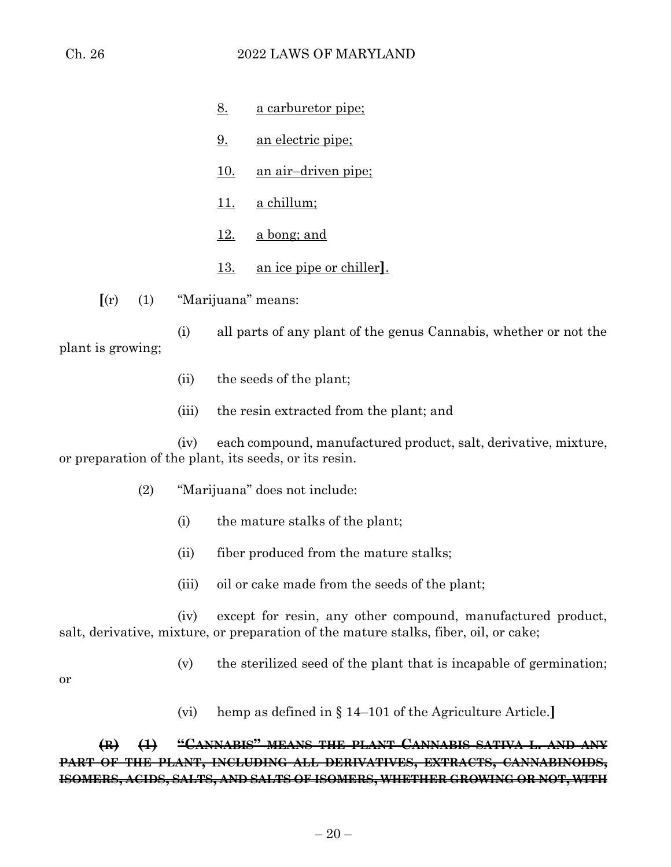- 8. a carburetor pipe;
	- 9. an electric pipe;
	- 10. an air–driven pipe;
	- 11. a chillum;
	- $12. a$  bong; and
	- 13. an ice pipe or chiller**]**.

**[**(r) (1) "Marijuana" means:

(i) all parts of any plant of the genus Cannabis, whether or not the plant is growing;

- (ii) the seeds of the plant;
- (iii) the resin extracted from the plant; and

(iv) each compound, manufactured product, salt, derivative, mixture, or preparation of the plant, its seeds, or its resin.

- (2) "Marijuana" does not include:
	- (i) the mature stalks of the plant;
	- (ii) fiber produced from the mature stalks;
	- (iii) oil or cake made from the seeds of the plant;

(iv) except for resin, any other compound, manufactured product, salt, derivative, mixture, or preparation of the mature stalks, fiber, oil, or cake;

(v) the sterilized seed of the plant that is incapable of germination;

or

(vi) hemp as defined in § 14–101 of the Agriculture Article.**]**

# **(R) (1) "CANNABIS" MEANS THE PLANT CANNABIS SATIVA L. AND ANY PART OF THE PLANT, INCLUDING ALL DERIVATIVES, EXTRACTS, CANNABINOIDS, ISOMERS, ACIDS, SALTS, AND SALTS OF ISOMERS, WHETHER GROWING OR NOT, WITH**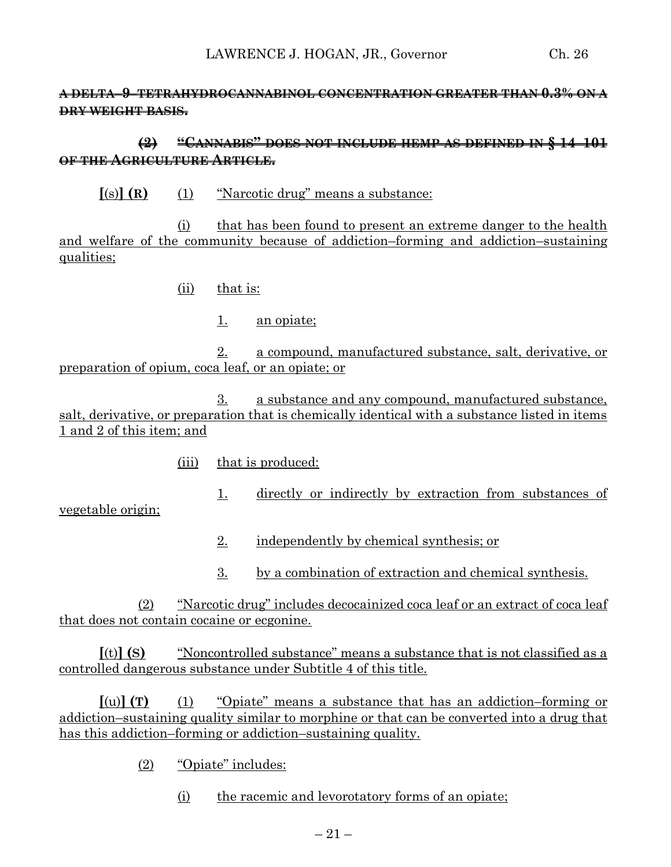# **A DELTA–9–TETRAHYDROCANNABINOL CONCENTRATION GREATER THAN 0.3% ON A DRY WEIGHT BASIS.**

# **(2) "CANNABIS" DOES NOT INCLUDE HEMP AS DEFINED IN § 14–101 OF THE AGRICULTURE ARTICLE.**

**[**(s)**] (R)** (1) "Narcotic drug" means a substance:

(i) that has been found to present an extreme danger to the health and welfare of the community because of addiction–forming and addiction–sustaining qualities;

(ii) that is:

1. an opiate;

2. a compound, manufactured substance, salt, derivative, or preparation of opium, coca leaf, or an opiate; or

3. a substance and any compound, manufactured substance, salt, derivative, or preparation that is chemically identical with a substance listed in items 1 and 2 of this item; and

(iii) that is produced:

1. directly or indirectly by extraction from substances of

vegetable origin;

- 2. independently by chemical synthesis; or
- 3. by a combination of extraction and chemical synthesis.

(2) "Narcotic drug" includes decocainized coca leaf or an extract of coca leaf that does not contain cocaine or ecgonine.

**[**(t)**] (S)** "Noncontrolled substance" means a substance that is not classified as a controlled dangerous substance under Subtitle 4 of this title.

**[**(u)**] (T)** (1) "Opiate" means a substance that has an addiction–forming or addiction–sustaining quality similar to morphine or that can be converted into a drug that has this addiction–forming or addiction–sustaining quality.

(2) "Opiate" includes:

(i) the racemic and levorotatory forms of an opiate;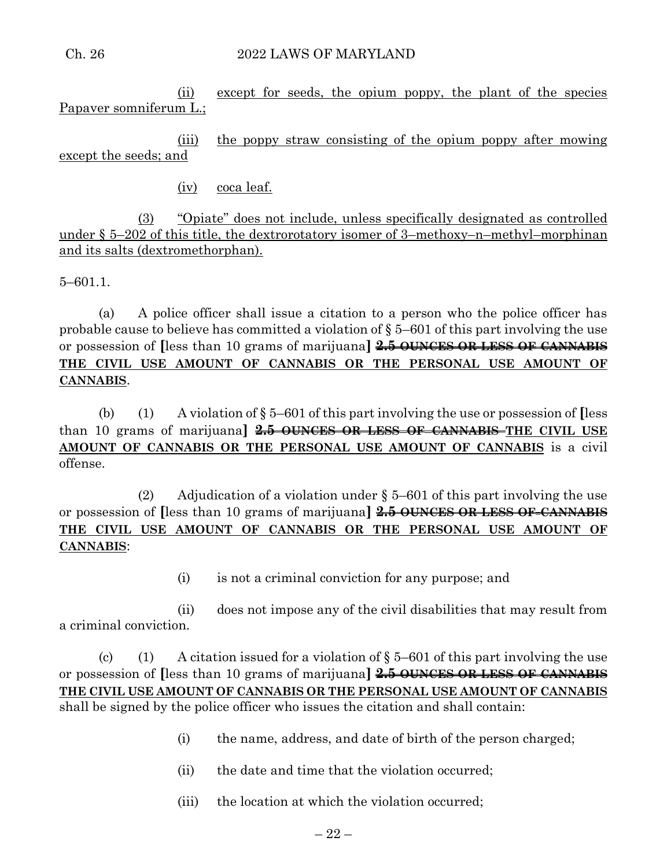#### Ch. 26 2022 LAWS OF MARYLAND

(ii) except for seeds, the opium poppy, the plant of the species Papaver somniferum L.;

(iii) the poppy straw consisting of the opium poppy after mowing except the seeds; and

(iv) coca leaf.

(3) "Opiate" does not include, unless specifically designated as controlled under § 5–202 of this title, the dextrorotatory isomer of 3–methoxy–n–methyl–morphinan and its salts (dextromethorphan).

5–601.1.

(a) A police officer shall issue a citation to a person who the police officer has probable cause to believe has committed a violation of § 5–601 of this part involving the use or possession of **[**less than 10 grams of marijuana**] 2.5 OUNCES OR LESS OF CANNABIS THE CIVIL USE AMOUNT OF CANNABIS OR THE PERSONAL USE AMOUNT OF CANNABIS**.

(b) (1) A violation of § 5–601 of this part involving the use or possession of **[**less than 10 grams of marijuana**] 2.5 OUNCES OR LESS OF CANNABIS THE CIVIL USE AMOUNT OF CANNABIS OR THE PERSONAL USE AMOUNT OF CANNABIS** is a civil offense.

(2) Adjudication of a violation under  $\S 5-601$  of this part involving the use or possession of **[**less than 10 grams of marijuana**] 2.5 OUNCES OR LESS OF CANNABIS THE CIVIL USE AMOUNT OF CANNABIS OR THE PERSONAL USE AMOUNT OF CANNABIS**:

(i) is not a criminal conviction for any purpose; and

(ii) does not impose any of the civil disabilities that may result from a criminal conviction.

(c) (1) A citation issued for a violation of  $\S 5-601$  of this part involving the use or possession of **[**less than 10 grams of marijuana**] 2.5 OUNCES OR LESS OF CANNABIS THE CIVIL USE AMOUNT OF CANNABIS OR THE PERSONAL USE AMOUNT OF CANNABIS**  shall be signed by the police officer who issues the citation and shall contain:

- (i) the name, address, and date of birth of the person charged;
- (ii) the date and time that the violation occurred;
- (iii) the location at which the violation occurred;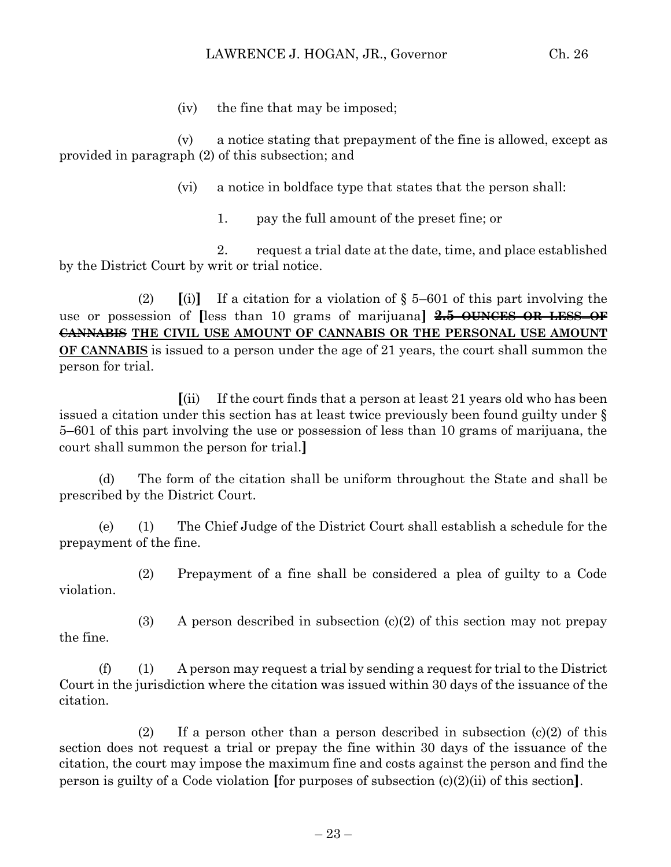(iv) the fine that may be imposed;

(v) a notice stating that prepayment of the fine is allowed, except as provided in paragraph (2) of this subsection; and

(vi) a notice in boldface type that states that the person shall:

1. pay the full amount of the preset fine; or

2. request a trial date at the date, time, and place established by the District Court by writ or trial notice.

(2)  $\left[ \begin{matrix} \n\text{(i)} \n\end{matrix} \right]$  If a citation for a violation of § 5–601 of this part involving the use or possession of **[**less than 10 grams of marijuana**] 2.5 OUNCES OR LESS OF CANNABIS THE CIVIL USE AMOUNT OF CANNABIS OR THE PERSONAL USE AMOUNT OF CANNABIS** is issued to a person under the age of 21 years, the court shall summon the person for trial.

**[**(ii) If the court finds that a person at least 21 years old who has been issued a citation under this section has at least twice previously been found guilty under § 5–601 of this part involving the use or possession of less than 10 grams of marijuana, the court shall summon the person for trial.**]**

(d) The form of the citation shall be uniform throughout the State and shall be prescribed by the District Court.

(e) (1) The Chief Judge of the District Court shall establish a schedule for the prepayment of the fine.

(2) Prepayment of a fine shall be considered a plea of guilty to a Code violation.

the fine.

(3) A person described in subsection  $(c)(2)$  of this section may not prepay

 $(f)$  (1) A person may request a trial by sending a request for trial to the District Court in the jurisdiction where the citation was issued within 30 days of the issuance of the citation.

(2) If a person other than a person described in subsection  $(c)(2)$  of this section does not request a trial or prepay the fine within 30 days of the issuance of the citation, the court may impose the maximum fine and costs against the person and find the person is guilty of a Code violation **[**for purposes of subsection (c)(2)(ii) of this section**]**.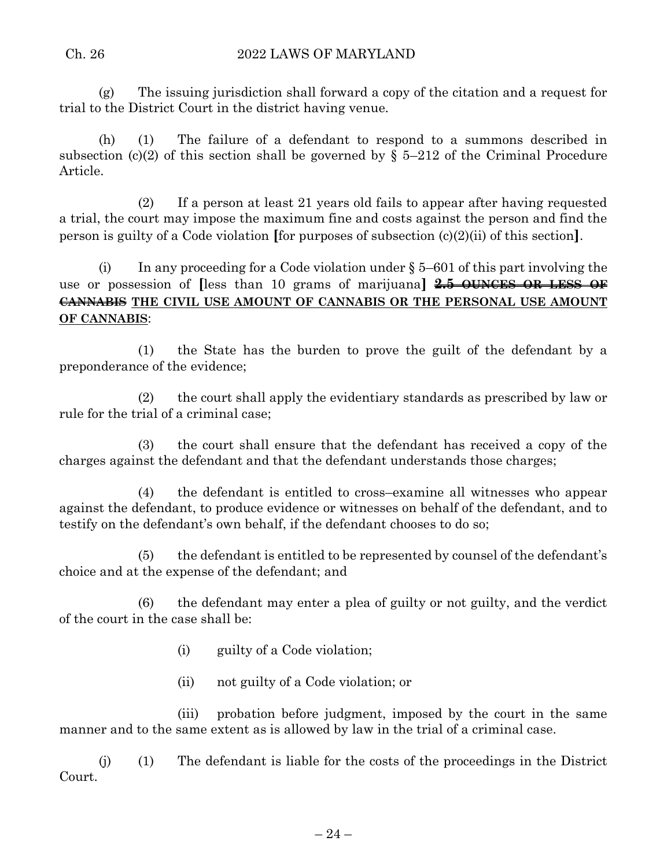(g) The issuing jurisdiction shall forward a copy of the citation and a request for trial to the District Court in the district having venue.

(h) (1) The failure of a defendant to respond to a summons described in subsection (c)(2) of this section shall be governed by  $\S$  5–212 of the Criminal Procedure Article.

(2) If a person at least 21 years old fails to appear after having requested a trial, the court may impose the maximum fine and costs against the person and find the person is guilty of a Code violation **[**for purposes of subsection (c)(2)(ii) of this section**]**.

(i) In any proceeding for a Code violation under  $\S 5-601$  of this part involving the use or possession of **[**less than 10 grams of marijuana**] 2.5 OUNCES OR LESS OF CANNABIS THE CIVIL USE AMOUNT OF CANNABIS OR THE PERSONAL USE AMOUNT OF CANNABIS**:

(1) the State has the burden to prove the guilt of the defendant by a preponderance of the evidence;

(2) the court shall apply the evidentiary standards as prescribed by law or rule for the trial of a criminal case;

(3) the court shall ensure that the defendant has received a copy of the charges against the defendant and that the defendant understands those charges;

(4) the defendant is entitled to cross–examine all witnesses who appear against the defendant, to produce evidence or witnesses on behalf of the defendant, and to testify on the defendant's own behalf, if the defendant chooses to do so;

(5) the defendant is entitled to be represented by counsel of the defendant's choice and at the expense of the defendant; and

(6) the defendant may enter a plea of guilty or not guilty, and the verdict of the court in the case shall be:

- (i) guilty of a Code violation;
- (ii) not guilty of a Code violation; or

(iii) probation before judgment, imposed by the court in the same manner and to the same extent as is allowed by law in the trial of a criminal case.

(j) (1) The defendant is liable for the costs of the proceedings in the District Court.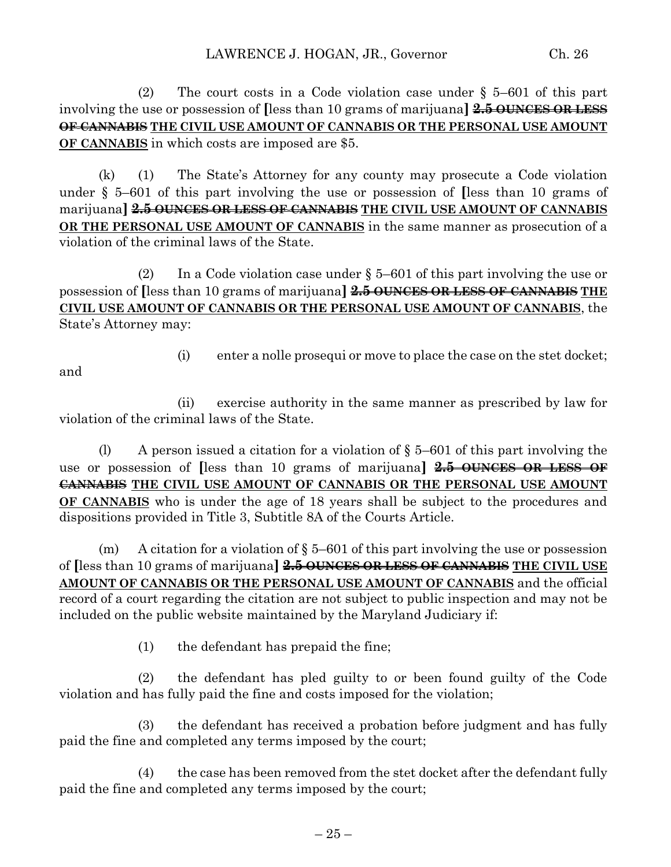(2) The court costs in a Code violation case under § 5–601 of this part involving the use or possession of **[**less than 10 grams of marijuana**] 2.5 OUNCES OR LESS OF CANNABIS THE CIVIL USE AMOUNT OF CANNABIS OR THE PERSONAL USE AMOUNT OF CANNABIS** in which costs are imposed are \$5.

(k) (1) The State's Attorney for any county may prosecute a Code violation under § 5–601 of this part involving the use or possession of **[**less than 10 grams of marijuana**] 2.5 OUNCES OR LESS OF CANNABIS THE CIVIL USE AMOUNT OF CANNABIS OR THE PERSONAL USE AMOUNT OF CANNABIS** in the same manner as prosecution of a violation of the criminal laws of the State.

(2) In a Code violation case under  $\S 5-601$  of this part involving the use or possession of **[**less than 10 grams of marijuana**] 2.5 OUNCES OR LESS OF CANNABIS THE CIVIL USE AMOUNT OF CANNABIS OR THE PERSONAL USE AMOUNT OF CANNABIS**, the State's Attorney may:

and

(i) enter a nolle prosequi or move to place the case on the stet docket;

(ii) exercise authority in the same manner as prescribed by law for violation of the criminal laws of the State.

(l) A person issued a citation for a violation of  $\S 5-601$  of this part involving the use or possession of **[**less than 10 grams of marijuana**] 2.5 OUNCES OR LESS OF CANNABIS THE CIVIL USE AMOUNT OF CANNABIS OR THE PERSONAL USE AMOUNT OF CANNABIS** who is under the age of 18 years shall be subject to the procedures and dispositions provided in Title 3, Subtitle 8A of the Courts Article.

(m) A citation for a violation of  $\S 5-601$  of this part involving the use or possession of **[**less than 10 grams of marijuana**] 2.5 OUNCES OR LESS OF CANNABIS THE CIVIL USE AMOUNT OF CANNABIS OR THE PERSONAL USE AMOUNT OF CANNABIS** and the official record of a court regarding the citation are not subject to public inspection and may not be included on the public website maintained by the Maryland Judiciary if:

(1) the defendant has prepaid the fine;

(2) the defendant has pled guilty to or been found guilty of the Code violation and has fully paid the fine and costs imposed for the violation;

(3) the defendant has received a probation before judgment and has fully paid the fine and completed any terms imposed by the court;

(4) the case has been removed from the stet docket after the defendant fully paid the fine and completed any terms imposed by the court;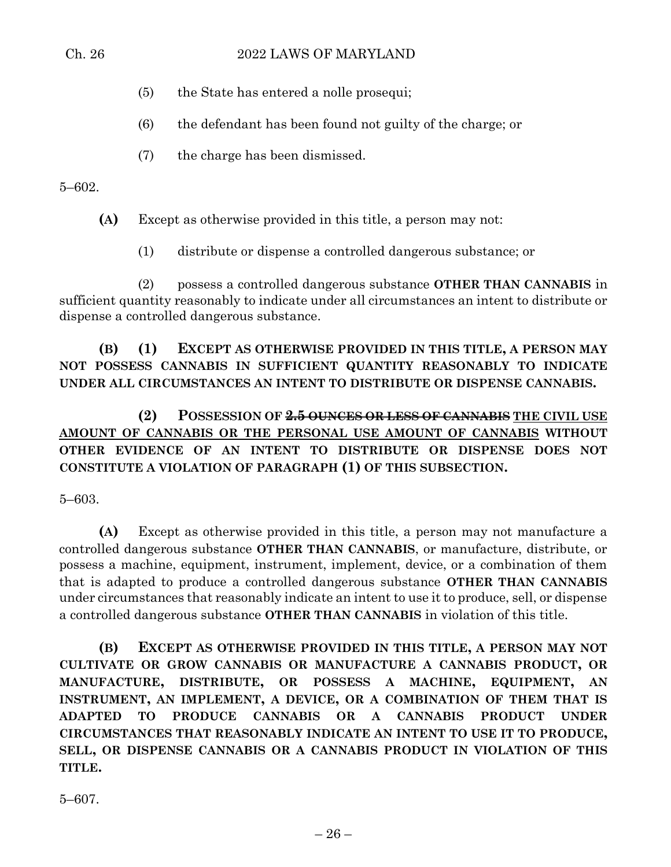- (5) the State has entered a nolle prosequi;
- (6) the defendant has been found not guilty of the charge; or
- (7) the charge has been dismissed.

5–602.

**(A)** Except as otherwise provided in this title, a person may not:

(1) distribute or dispense a controlled dangerous substance; or

(2) possess a controlled dangerous substance **OTHER THAN CANNABIS** in sufficient quantity reasonably to indicate under all circumstances an intent to distribute or dispense a controlled dangerous substance.

**(B) (1) EXCEPT AS OTHERWISE PROVIDED IN THIS TITLE, A PERSON MAY NOT POSSESS CANNABIS IN SUFFICIENT QUANTITY REASONABLY TO INDICATE UNDER ALL CIRCUMSTANCES AN INTENT TO DISTRIBUTE OR DISPENSE CANNABIS.**

**(2) POSSESSION OF 2.5 OUNCES OR LESS OF CANNABIS THE CIVIL USE AMOUNT OF CANNABIS OR THE PERSONAL USE AMOUNT OF CANNABIS WITHOUT OTHER EVIDENCE OF AN INTENT TO DISTRIBUTE OR DISPENSE DOES NOT CONSTITUTE A VIOLATION OF PARAGRAPH (1) OF THIS SUBSECTION.**

5–603.

**(A)** Except as otherwise provided in this title, a person may not manufacture a controlled dangerous substance **OTHER THAN CANNABIS**, or manufacture, distribute, or possess a machine, equipment, instrument, implement, device, or a combination of them that is adapted to produce a controlled dangerous substance **OTHER THAN CANNABIS** under circumstances that reasonably indicate an intent to use it to produce, sell, or dispense a controlled dangerous substance **OTHER THAN CANNABIS** in violation of this title.

**(B) EXCEPT AS OTHERWISE PROVIDED IN THIS TITLE, A PERSON MAY NOT CULTIVATE OR GROW CANNABIS OR MANUFACTURE A CANNABIS PRODUCT, OR MANUFACTURE, DISTRIBUTE, OR POSSESS A MACHINE, EQUIPMENT, AN INSTRUMENT, AN IMPLEMENT, A DEVICE, OR A COMBINATION OF THEM THAT IS ADAPTED TO PRODUCE CANNABIS OR A CANNABIS PRODUCT UNDER CIRCUMSTANCES THAT REASONABLY INDICATE AN INTENT TO USE IT TO PRODUCE, SELL, OR DISPENSE CANNABIS OR A CANNABIS PRODUCT IN VIOLATION OF THIS TITLE.**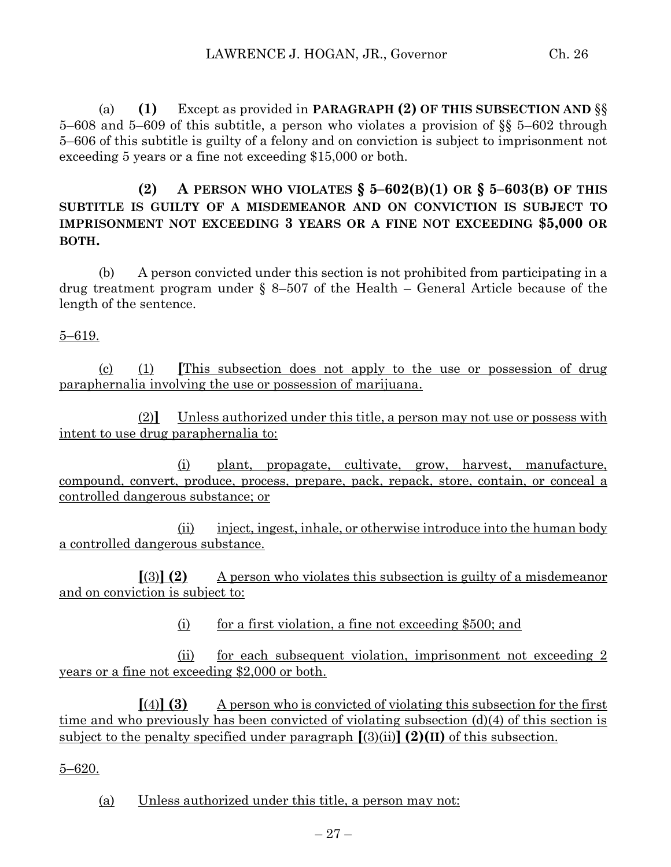(a) **(1)** Except as provided in **PARAGRAPH (2) OF THIS SUBSECTION AND** §§ 5–608 and 5–609 of this subtitle, a person who violates a provision of §§ 5–602 through 5–606 of this subtitle is guilty of a felony and on conviction is subject to imprisonment not exceeding 5 years or a fine not exceeding \$15,000 or both.

**(2) A PERSON WHO VIOLATES § 5–602(B)(1) OR § 5–603(B) OF THIS SUBTITLE IS GUILTY OF A MISDEMEANOR AND ON CONVICTION IS SUBJECT TO IMPRISONMENT NOT EXCEEDING 3 YEARS OR A FINE NOT EXCEEDING \$5,000 OR BOTH.**

(b) A person convicted under this section is not prohibited from participating in a drug treatment program under § 8–507 of the Health – General Article because of the length of the sentence.

5–619.

(c) (1) **[**This subsection does not apply to the use or possession of drug paraphernalia involving the use or possession of marijuana.

(2)**]** Unless authorized under this title, a person may not use or possess with intent to use drug paraphernalia to:

(i) plant, propagate, cultivate, grow, harvest, manufacture, compound, convert, produce, process, prepare, pack, repack, store, contain, or conceal a controlled dangerous substance; or

(ii) inject, ingest, inhale, or otherwise introduce into the human body a controlled dangerous substance.

**[**(3)**] (2)** A person who violates this subsection is guilty of a misdemeanor and on conviction is subject to:

(i) for a first violation, a fine not exceeding  $$500$ ; and

(ii) for each subsequent violation, imprisonment not exceeding 2 years or a fine not exceeding \$2,000 or both.

 $[(4)]$  **(3)** A person who is convicted of violating this subsection for the first time and who previously has been convicted of violating subsection (d)(4) of this section is subject to the penalty specified under paragraph **[**(3)(ii)**] (2)(II)** of this subsection.

5–620.

(a) Unless authorized under this title, a person may not: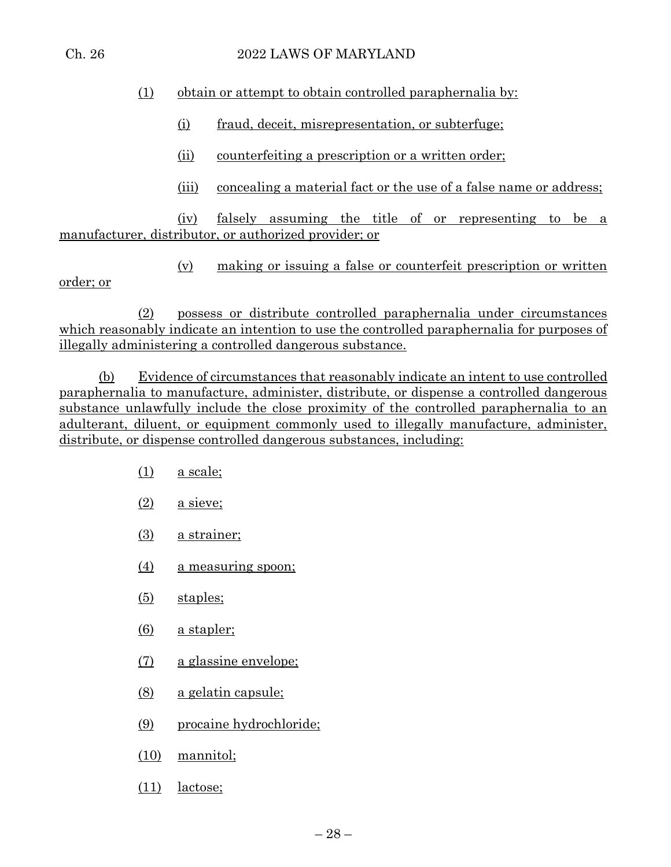#### Ch. 26 2022 LAWS OF MARYLAND

# (1) obtain or attempt to obtain controlled paraphernalia by:

- (i) fraud, deceit, misrepresentation, or subterfuge;
- (ii) counterfeiting a prescription or a written order;
- (iii) concealing a material fact or the use of a false name or address;

(iv) falsely assuming the title of or representing to be a manufacturer, distributor, or authorized provider; or

(v) making or issuing a false or counterfeit prescription or written

(2) possess or distribute controlled paraphernalia under circumstances which reasonably indicate an intention to use the controlled paraphernalia for purposes of illegally administering a controlled dangerous substance.

(b) Evidence of circumstances that reasonably indicate an intent to use controlled paraphernalia to manufacture, administer, distribute, or dispense a controlled dangerous substance unlawfully include the close proximity of the controlled paraphernalia to an adulterant, diluent, or equipment commonly used to illegally manufacture, administer, distribute, or dispense controlled dangerous substances, including:

- (1) a scale;
- $(2)$  a sieve;
- (3) a strainer;
- (4) a measuring spoon;
- (5) staples;
- (6) a stapler;
- (7) a glassine envelope;
- (8) a gelatin capsule;
- (9) procaine hydrochloride;
- (10) mannitol;
- (11) lactose;

order; or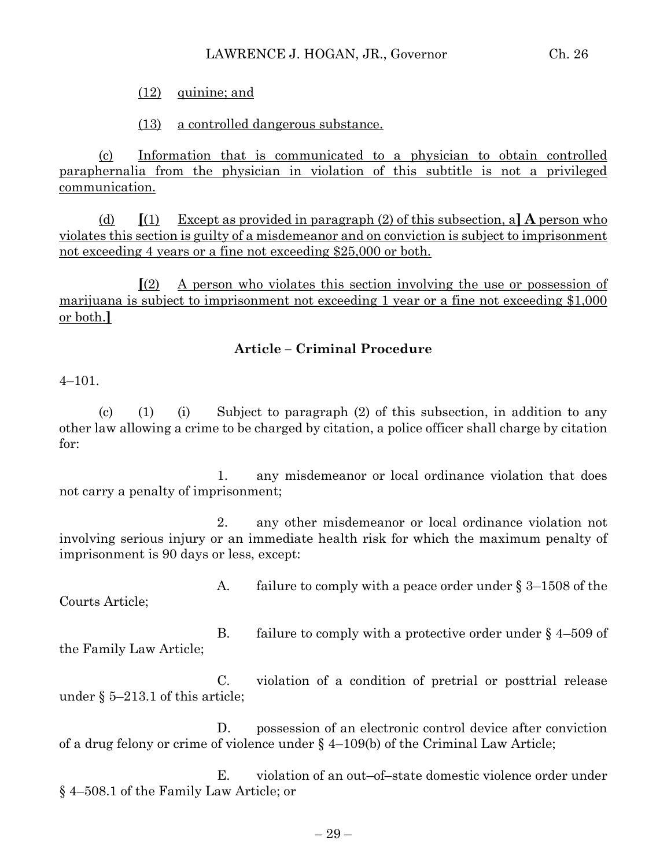(12) quinine; and

(13) a controlled dangerous substance.

(c) Information that is communicated to a physician to obtain controlled paraphernalia from the physician in violation of this subtitle is not a privileged communication.

(d) **[**(1) Except as provided in paragraph (2) of this subsection, a**] A** person who violates this section is guilty of a misdemeanor and on conviction is subject to imprisonment not exceeding 4 years or a fine not exceeding \$25,000 or both.

**[**(2) A person who violates this section involving the use or possession of marijuana is subject to imprisonment not exceeding 1 year or a fine not exceeding \$1,000 or both.**]**

# **Article – Criminal Procedure**

4–101.

(c) (1) (i) Subject to paragraph  $(2)$  of this subsection, in addition to any other law allowing a crime to be charged by citation, a police officer shall charge by citation for:

1. any misdemeanor or local ordinance violation that does not carry a penalty of imprisonment;

2. any other misdemeanor or local ordinance violation not involving serious injury or an immediate health risk for which the maximum penalty of imprisonment is 90 days or less, except:

Courts Article;

A. failure to comply with a peace order under § 3–1508 of the

B. failure to comply with a protective order under  $\S$  4–509 of the Family Law Article;

C. violation of a condition of pretrial or posttrial release under § 5–213.1 of this article;

D. possession of an electronic control device after conviction of a drug felony or crime of violence under § 4–109(b) of the Criminal Law Article;

E. violation of an out–of–state domestic violence order under § 4–508.1 of the Family Law Article; or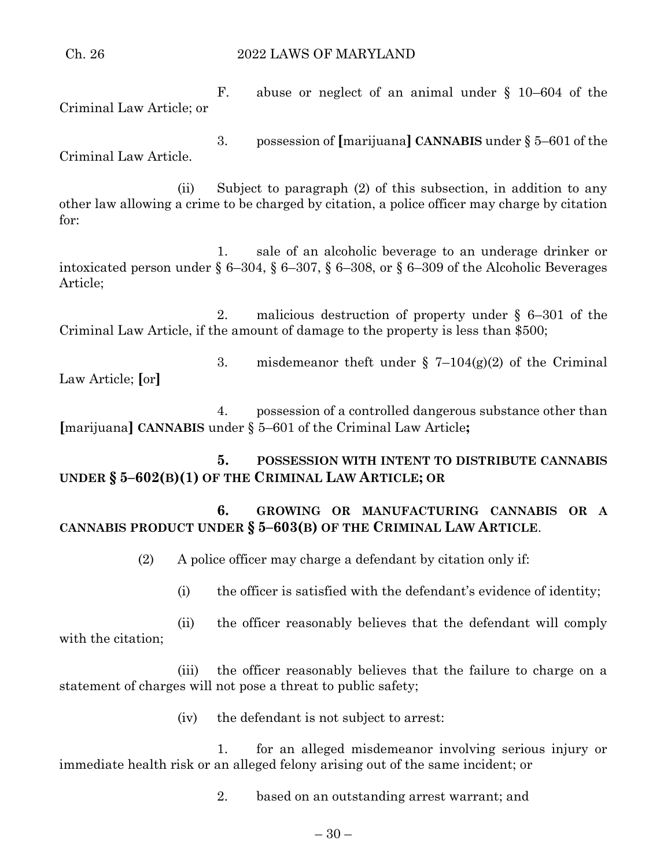Ch. 26 2022 LAWS OF MARYLAND

F. abuse or neglect of an animal under § 10–604 of the Criminal Law Article; or

3. possession of **[**marijuana**] CANNABIS** under § 5–601 of the Criminal Law Article.

(ii) Subject to paragraph (2) of this subsection, in addition to any other law allowing a crime to be charged by citation, a police officer may charge by citation for:

1. sale of an alcoholic beverage to an underage drinker or intoxicated person under § 6–304, § 6–307, § 6–308, or § 6–309 of the Alcoholic Beverages Article;

2. malicious destruction of property under § 6–301 of the Criminal Law Article, if the amount of damage to the property is less than \$500;

3. misdemeanor theft under  $\S$  7-104(g)(2) of the Criminal Law Article; **[**or**]**

4. possession of a controlled dangerous substance other than **[**marijuana**] CANNABIS** under § 5–601 of the Criminal Law Article**;**

**5. POSSESSION WITH INTENT TO DISTRIBUTE CANNABIS UNDER § 5–602(B)(1) OF THE CRIMINAL LAW ARTICLE; OR**

# **6. GROWING OR MANUFACTURING CANNABIS OR A CANNABIS PRODUCT UNDER § 5–603(B) OF THE CRIMINAL LAW ARTICLE**.

(2) A police officer may charge a defendant by citation only if:

(i) the officer is satisfied with the defendant's evidence of identity;

(ii) the officer reasonably believes that the defendant will comply with the citation;

(iii) the officer reasonably believes that the failure to charge on a statement of charges will not pose a threat to public safety;

(iv) the defendant is not subject to arrest:

1. for an alleged misdemeanor involving serious injury or immediate health risk or an alleged felony arising out of the same incident; or

2. based on an outstanding arrest warrant; and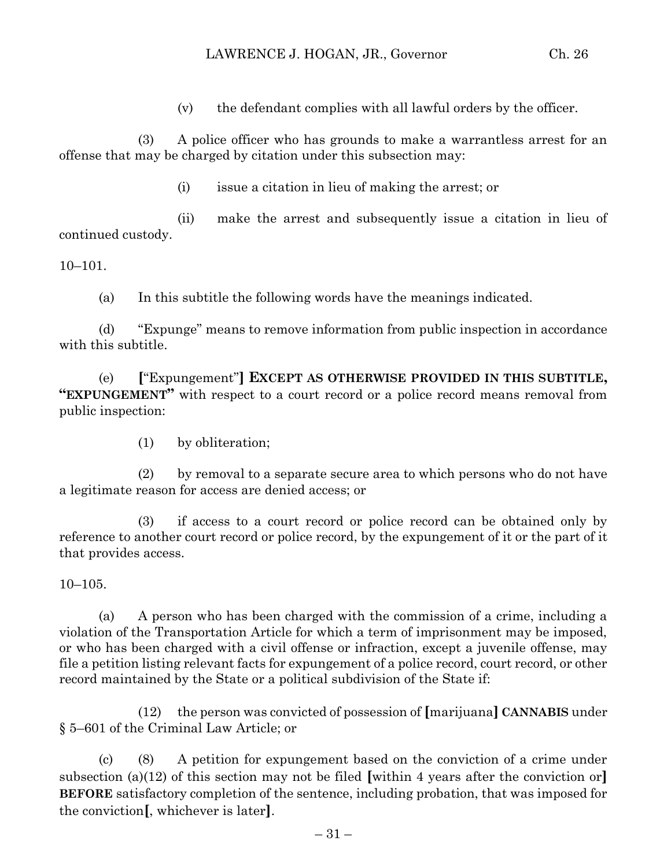(v) the defendant complies with all lawful orders by the officer.

(3) A police officer who has grounds to make a warrantless arrest for an offense that may be charged by citation under this subsection may:

(i) issue a citation in lieu of making the arrest; or

(ii) make the arrest and subsequently issue a citation in lieu of continued custody.

10–101.

(a) In this subtitle the following words have the meanings indicated.

(d) "Expunge" means to remove information from public inspection in accordance with this subtitle.

(e) **[**"Expungement"**] EXCEPT AS OTHERWISE PROVIDED IN THIS SUBTITLE, "EXPUNGEMENT"** with respect to a court record or a police record means removal from public inspection:

(1) by obliteration;

(2) by removal to a separate secure area to which persons who do not have a legitimate reason for access are denied access; or

(3) if access to a court record or police record can be obtained only by reference to another court record or police record, by the expungement of it or the part of it that provides access.

 $10-105.$ 

(a) A person who has been charged with the commission of a crime, including a violation of the Transportation Article for which a term of imprisonment may be imposed, or who has been charged with a civil offense or infraction, except a juvenile offense, may file a petition listing relevant facts for expungement of a police record, court record, or other record maintained by the State or a political subdivision of the State if:

(12) the person was convicted of possession of **[**marijuana**] CANNABIS** under § 5–601 of the Criminal Law Article; or

(c) (8) A petition for expungement based on the conviction of a crime under subsection (a)(12) of this section may not be filed **[**within 4 years after the conviction or**] BEFORE** satisfactory completion of the sentence, including probation, that was imposed for the conviction**[**, whichever is later**]**.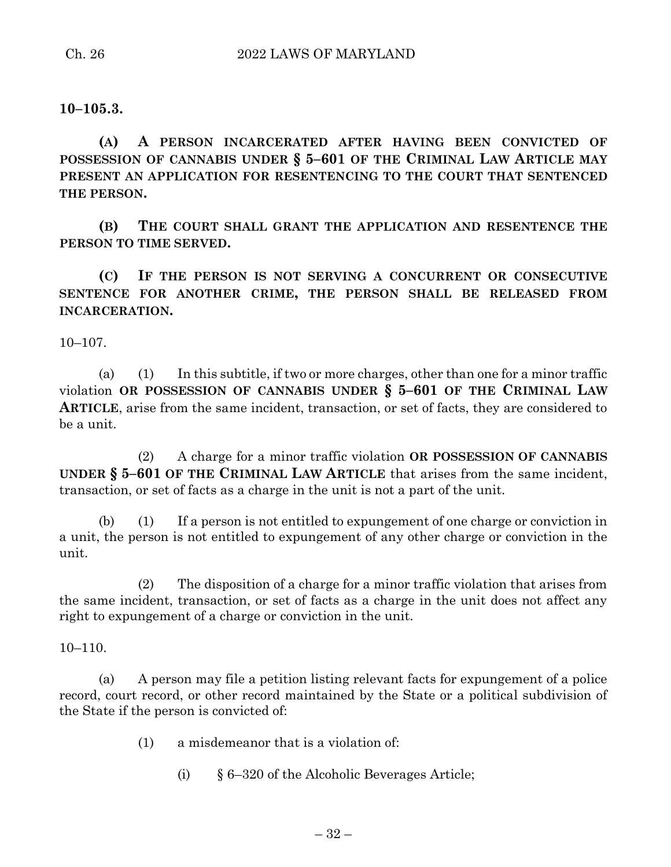**10–105.3.**

**(A) A PERSON INCARCERATED AFTER HAVING BEEN CONVICTED OF POSSESSION OF CANNABIS UNDER § 5–601 OF THE CRIMINAL LAW ARTICLE MAY PRESENT AN APPLICATION FOR RESENTENCING TO THE COURT THAT SENTENCED THE PERSON.**

**(B) THE COURT SHALL GRANT THE APPLICATION AND RESENTENCE THE PERSON TO TIME SERVED.**

**(C) IF THE PERSON IS NOT SERVING A CONCURRENT OR CONSECUTIVE SENTENCE FOR ANOTHER CRIME, THE PERSON SHALL BE RELEASED FROM INCARCERATION.**

10–107.

(a) (1) In this subtitle, if two or more charges, other than one for a minor traffic violation **OR POSSESSION OF CANNABIS UNDER § 5–601 OF THE CRIMINAL LAW ARTICLE**, arise from the same incident, transaction, or set of facts, they are considered to be a unit.

(2) A charge for a minor traffic violation **OR POSSESSION OF CANNABIS UNDER § 5–601 OF THE CRIMINAL LAW ARTICLE** that arises from the same incident, transaction, or set of facts as a charge in the unit is not a part of the unit.

(b) (1) If a person is not entitled to expungement of one charge or conviction in a unit, the person is not entitled to expungement of any other charge or conviction in the unit.

(2) The disposition of a charge for a minor traffic violation that arises from the same incident, transaction, or set of facts as a charge in the unit does not affect any right to expungement of a charge or conviction in the unit.

10–110.

(a) A person may file a petition listing relevant facts for expungement of a police record, court record, or other record maintained by the State or a political subdivision of the State if the person is convicted of:

- (1) a misdemeanor that is a violation of:
	- (i) § 6–320 of the Alcoholic Beverages Article;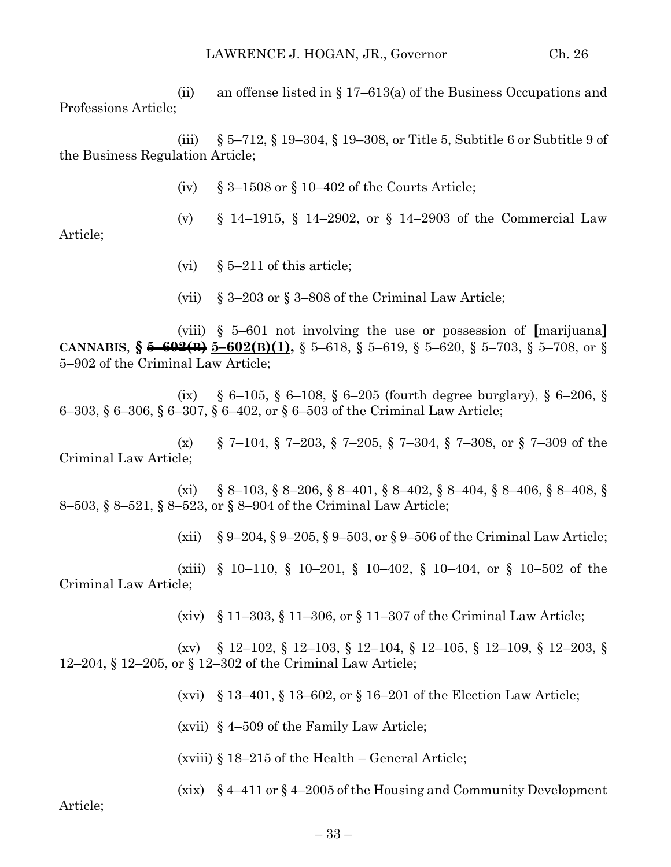(ii) an offense listed in  $\S 17-613(a)$  of the Business Occupations and Professions Article;

(iii) § 5–712, § 19–304, § 19–308, or Title 5, Subtitle 6 or Subtitle 9 of the Business Regulation Article;

(iv)  $\&$  3–1508 or  $\&$  10–402 of the Courts Article;

(v) § 14–1915, § 14–2902, or § 14–2903 of the Commercial Law

- (vi)  $\& 5-211$  of this article;
- (vii)  $\S 3-203$  or  $\S 3-808$  of the Criminal Law Article;

(viii) § 5–601 not involving the use or possession of **[**marijuana**] CANNABIS**, **§ 5–602(B) 5–602(B)(1),** § 5–618, § 5–619, § 5–620, § 5–703, § 5–708, or § 5–902 of the Criminal Law Article;

(ix) § 6–105, § 6–108, § 6–205 (fourth degree burglary), § 6–206, § 6–303, § 6–306, § 6–307, § 6–402, or § 6–503 of the Criminal Law Article;

(x) § 7–104, § 7–203, § 7–205, § 7–304, § 7–308, or § 7–309 of the Criminal Law Article;

(xi)  $\S 8-103$ ,  $\S 8-206$ ,  $\S 8-401$ ,  $\S 8-402$ ,  $\S 8-404$ ,  $\S 8-406$ ,  $\S 8-408$ ,  $\S 8$ 8–503, § 8–521, § 8–523, or § 8–904 of the Criminal Law Article;

(xii)  $\S 9-204$ ,  $\S 9-205$ ,  $\S 9-503$ , or  $\S 9-506$  of the Criminal Law Article;

(xiii) § 10–110, § 10–201, § 10–402, § 10–404, or § 10–502 of the Criminal Law Article;

(xiv) § 11–303, § 11–306, or § 11–307 of the Criminal Law Article;

(xv) § 12–102, § 12–103, § 12–104, § 12–105, § 12–109, § 12–203, § 12–204, § 12–205, or § 12–302 of the Criminal Law Article;

(xvi) § 13–401, § 13–602, or § 16–201 of the Election Law Article;

(xvii) § 4–509 of the Family Law Article;

(xviii) § 18–215 of the Health – General Article;

(xix) § 4–411 or § 4–2005 of the Housing and Community Development

Article;

Article;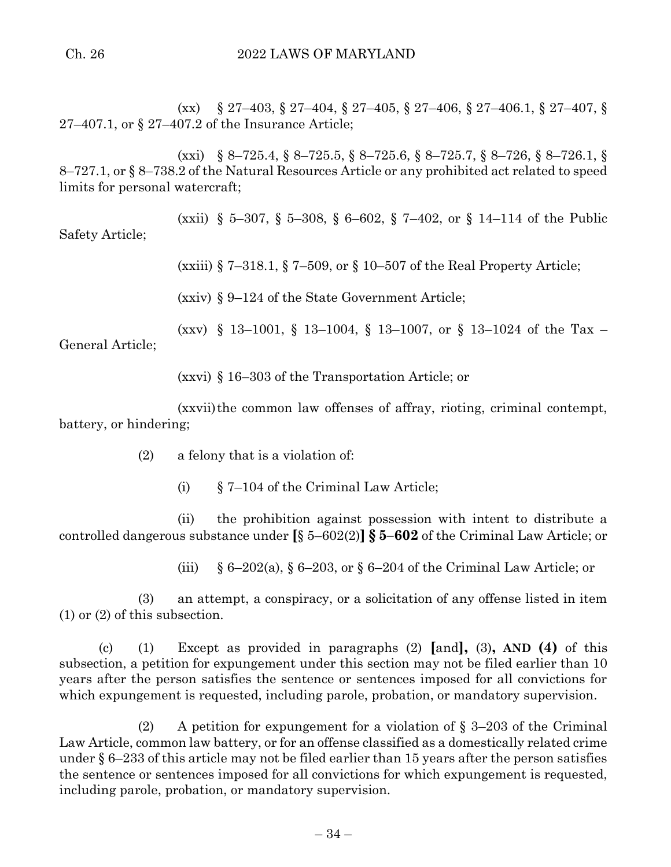(xx) § 27–403, § 27–404, § 27–405, § 27–406, § 27–406.1, § 27–407, § 27–407.1, or § 27–407.2 of the Insurance Article;

(xxi) § 8–725.4, § 8–725.5, § 8–725.6, § 8–725.7, § 8–726, § 8–726.1, § 8–727.1, or § 8–738.2 of the Natural Resources Article or any prohibited act related to speed limits for personal watercraft;

(xxii) § 5–307, § 5–308, § 6–602, § 7–402, or § 14–114 of the Public Safety Article;

(xxiii) § 7–318.1, § 7–509, or § 10–507 of the Real Property Article;

(xxiv) § 9–124 of the State Government Article;

(xxv) § 13–1001, § 13–1004, § 13–1007, or § 13–1024 of the Tax –

General Article;

(xxvi) § 16–303 of the Transportation Article; or

(xxvii)the common law offenses of affray, rioting, criminal contempt, battery, or hindering;

(2) a felony that is a violation of:

(i) § 7–104 of the Criminal Law Article;

(ii) the prohibition against possession with intent to distribute a controlled dangerous substance under **[**§ 5–602(2)**] § 5–602** of the Criminal Law Article; or

(iii) § 6–202(a), § 6–203, or § 6–204 of the Criminal Law Article; or

(3) an attempt, a conspiracy, or a solicitation of any offense listed in item (1) or (2) of this subsection.

(c) (1) Except as provided in paragraphs (2) **[**and**],** (3)**, AND (4)** of this subsection, a petition for expungement under this section may not be filed earlier than 10 years after the person satisfies the sentence or sentences imposed for all convictions for which expungement is requested, including parole, probation, or mandatory supervision.

(2) A petition for expungement for a violation of  $\S$  3–203 of the Criminal Law Article, common law battery, or for an offense classified as a domestically related crime under § 6–233 of this article may not be filed earlier than 15 years after the person satisfies the sentence or sentences imposed for all convictions for which expungement is requested, including parole, probation, or mandatory supervision.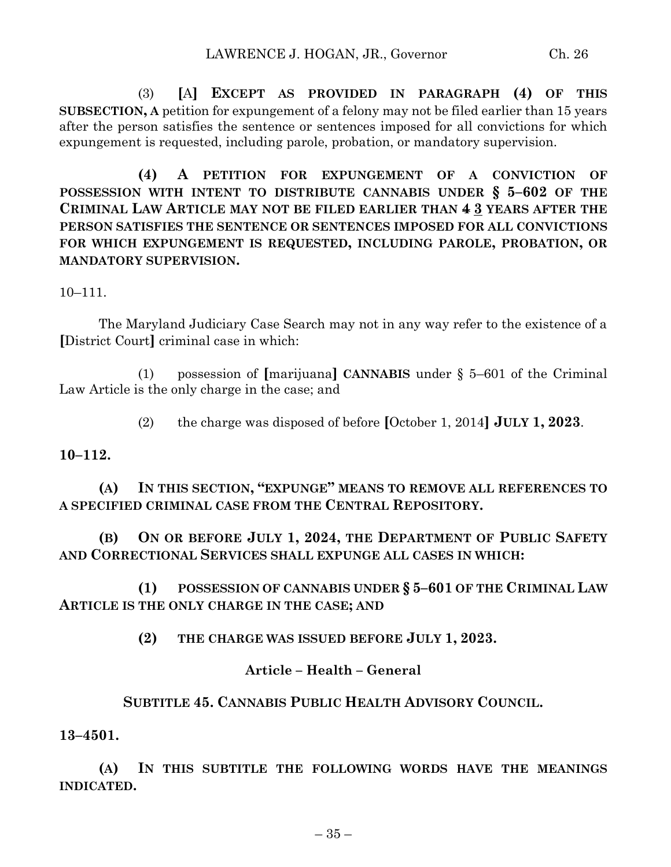(3) **[**A**] EXCEPT AS PROVIDED IN PARAGRAPH (4) OF THIS SUBSECTION, A** petition for expungement of a felony may not be filed earlier than 15 years after the person satisfies the sentence or sentences imposed for all convictions for which expungement is requested, including parole, probation, or mandatory supervision.

**(4) A PETITION FOR EXPUNGEMENT OF A CONVICTION OF POSSESSION WITH INTENT TO DISTRIBUTE CANNABIS UNDER § 5–602 OF THE CRIMINAL LAW ARTICLE MAY NOT BE FILED EARLIER THAN 4 3 YEARS AFTER THE PERSON SATISFIES THE SENTENCE OR SENTENCES IMPOSED FOR ALL CONVICTIONS FOR WHICH EXPUNGEMENT IS REQUESTED, INCLUDING PAROLE, PROBATION, OR MANDATORY SUPERVISION.**

10–111.

The Maryland Judiciary Case Search may not in any way refer to the existence of a **[**District Court**]** criminal case in which:

(1) possession of **[**marijuana**] CANNABIS** under § 5–601 of the Criminal Law Article is the only charge in the case; and

(2) the charge was disposed of before **[**October 1, 2014**] JULY 1, 2023**.

#### **10–112.**

**(A) IN THIS SECTION, "EXPUNGE" MEANS TO REMOVE ALL REFERENCES TO A SPECIFIED CRIMINAL CASE FROM THE CENTRAL REPOSITORY.**

**(B) ON OR BEFORE JULY 1, 2024, THE DEPARTMENT OF PUBLIC SAFETY AND CORRECTIONAL SERVICES SHALL EXPUNGE ALL CASES IN WHICH:**

**(1) POSSESSION OF CANNABIS UNDER § 5–601 OF THE CRIMINAL LAW ARTICLE IS THE ONLY CHARGE IN THE CASE; AND**

**(2) THE CHARGE WAS ISSUED BEFORE JULY 1, 2023.**

#### **Article – Health – General**

#### **SUBTITLE 45. CANNABIS PUBLIC HEALTH ADVISORY COUNCIL.**

**13–4501.**

**(A) IN THIS SUBTITLE THE FOLLOWING WORDS HAVE THE MEANINGS INDICATED.**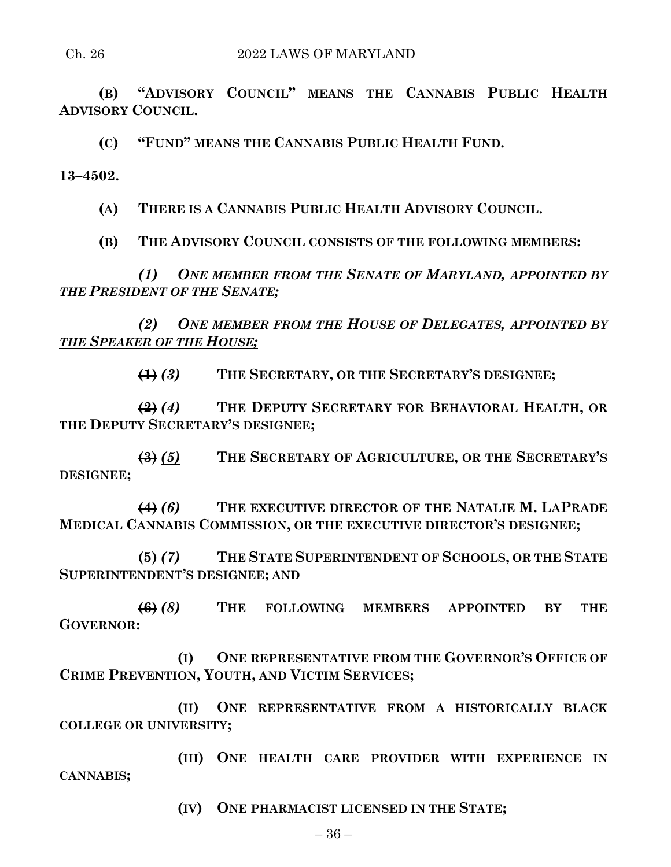#### Ch. 26 2022 LAWS OF MARYLAND

**(B) "ADVISORY COUNCIL" MEANS THE CANNABIS PUBLIC HEALTH ADVISORY COUNCIL.**

**(C) "FUND" MEANS THE CANNABIS PUBLIC HEALTH FUND.**

**13–4502.**

**(A) THERE IS A CANNABIS PUBLIC HEALTH ADVISORY COUNCIL.**

**(B) THE ADVISORY COUNCIL CONSISTS OF THE FOLLOWING MEMBERS:**

*(1) ONE MEMBER FROM THE SENATE OF MARYLAND, APPOINTED BY THE PRESIDENT OF THE SENATE;*

*(2) ONE MEMBER FROM THE HOUSE OF DELEGATES, APPOINTED BY THE SPEAKER OF THE HOUSE;*

**(1)** *(3)* **THE SECRETARY, OR THE SECRETARY'S DESIGNEE;**

**(2)** *(4)* **THE DEPUTY SECRETARY FOR BEHAVIORAL HEALTH, OR THE DEPUTY SECRETARY'S DESIGNEE;**

**(3)** *(5)* **THE SECRETARY OF AGRICULTURE, OR THE SECRETARY'S DESIGNEE;**

**(4)** *(6)* **THE EXECUTIVE DIRECTOR OF THE NATALIE M. LAPRADE MEDICAL CANNABIS COMMISSION, OR THE EXECUTIVE DIRECTOR'S DESIGNEE;**

**(5)** *(7)* **THE STATE SUPERINTENDENT OF SCHOOLS, OR THE STATE SUPERINTENDENT'S DESIGNEE; AND**

**(6)** *(8)* **THE FOLLOWING MEMBERS APPOINTED BY THE GOVERNOR:**

**(I) ONE REPRESENTATIVE FROM THE GOVERNOR'S OFFICE OF CRIME PREVENTION, YOUTH, AND VICTIM SERVICES;**

**(II) ONE REPRESENTATIVE FROM A HISTORICALLY BLACK COLLEGE OR UNIVERSITY;**

**(III) ONE HEALTH CARE PROVIDER WITH EXPERIENCE IN CANNABIS;**

**(IV) ONE PHARMACIST LICENSED IN THE STATE;**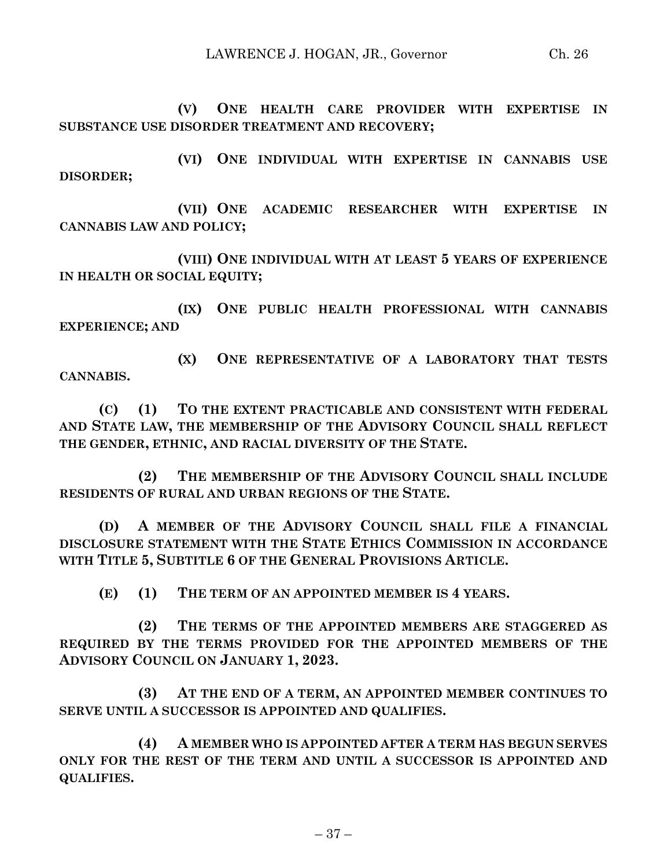**(V) ONE HEALTH CARE PROVIDER WITH EXPERTISE IN SUBSTANCE USE DISORDER TREATMENT AND RECOVERY;**

**(VI) ONE INDIVIDUAL WITH EXPERTISE IN CANNABIS USE DISORDER;**

**(VII) ONE ACADEMIC RESEARCHER WITH EXPERTISE IN CANNABIS LAW AND POLICY;**

**(VIII) ONE INDIVIDUAL WITH AT LEAST 5 YEARS OF EXPERIENCE IN HEALTH OR SOCIAL EQUITY;**

**(IX) ONE PUBLIC HEALTH PROFESSIONAL WITH CANNABIS EXPERIENCE; AND**

**(X) ONE REPRESENTATIVE OF A LABORATORY THAT TESTS CANNABIS.**

**(C) (1) TO THE EXTENT PRACTICABLE AND CONSISTENT WITH FEDERAL AND STATE LAW, THE MEMBERSHIP OF THE ADVISORY COUNCIL SHALL REFLECT THE GENDER, ETHNIC, AND RACIAL DIVERSITY OF THE STATE.**

**(2) THE MEMBERSHIP OF THE ADVISORY COUNCIL SHALL INCLUDE RESIDENTS OF RURAL AND URBAN REGIONS OF THE STATE.**

**(D) A MEMBER OF THE ADVISORY COUNCIL SHALL FILE A FINANCIAL DISCLOSURE STATEMENT WITH THE STATE ETHICS COMMISSION IN ACCORDANCE WITH TITLE 5, SUBTITLE 6 OF THE GENERAL PROVISIONS ARTICLE.**

**(E) (1) THE TERM OF AN APPOINTED MEMBER IS 4 YEARS.**

**(2) THE TERMS OF THE APPOINTED MEMBERS ARE STAGGERED AS REQUIRED BY THE TERMS PROVIDED FOR THE APPOINTED MEMBERS OF THE ADVISORY COUNCIL ON JANUARY 1, 2023.**

**(3) AT THE END OF A TERM, AN APPOINTED MEMBER CONTINUES TO SERVE UNTIL A SUCCESSOR IS APPOINTED AND QUALIFIES.**

**(4) A MEMBER WHO IS APPOINTED AFTER A TERM HAS BEGUN SERVES ONLY FOR THE REST OF THE TERM AND UNTIL A SUCCESSOR IS APPOINTED AND QUALIFIES.**

– 37 –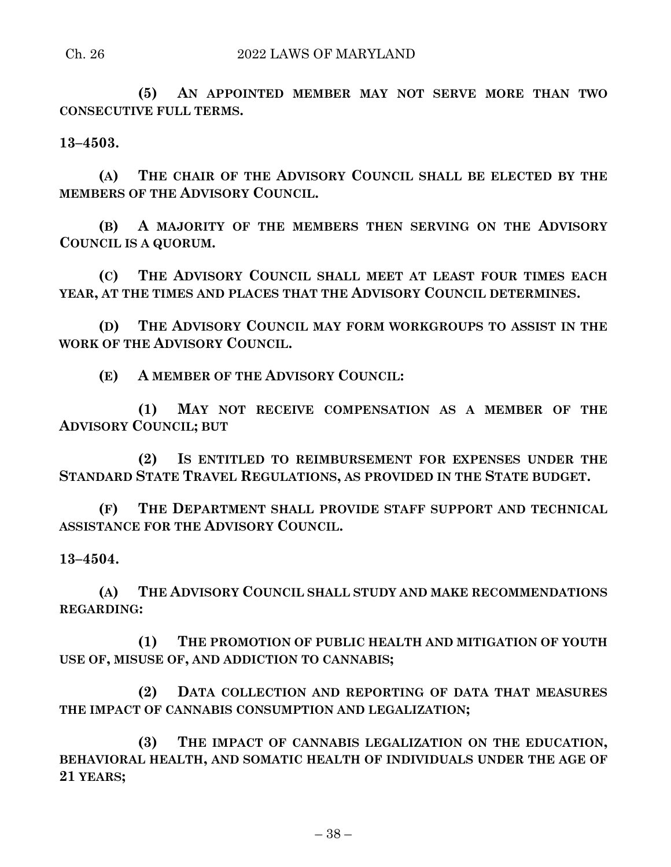#### Ch. 26 2022 LAWS OF MARYLAND

**(5) AN APPOINTED MEMBER MAY NOT SERVE MORE THAN TWO CONSECUTIVE FULL TERMS.**

**13–4503.**

**(A) THE CHAIR OF THE ADVISORY COUNCIL SHALL BE ELECTED BY THE MEMBERS OF THE ADVISORY COUNCIL.**

**(B) A MAJORITY OF THE MEMBERS THEN SERVING ON THE ADVISORY COUNCIL IS A QUORUM.**

**(C) THE ADVISORY COUNCIL SHALL MEET AT LEAST FOUR TIMES EACH YEAR, AT THE TIMES AND PLACES THAT THE ADVISORY COUNCIL DETERMINES.**

**(D) THE ADVISORY COUNCIL MAY FORM WORKGROUPS TO ASSIST IN THE WORK OF THE ADVISORY COUNCIL.**

**(E) A MEMBER OF THE ADVISORY COUNCIL:**

**(1) MAY NOT RECEIVE COMPENSATION AS A MEMBER OF THE ADVISORY COUNCIL; BUT**

**(2) IS ENTITLED TO REIMBURSEMENT FOR EXPENSES UNDER THE STANDARD STATE TRAVEL REGULATIONS, AS PROVIDED IN THE STATE BUDGET.**

**(F) THE DEPARTMENT SHALL PROVIDE STAFF SUPPORT AND TECHNICAL ASSISTANCE FOR THE ADVISORY COUNCIL.**

#### **13–4504.**

**(A) THE ADVISORY COUNCIL SHALL STUDY AND MAKE RECOMMENDATIONS REGARDING:**

**(1) THE PROMOTION OF PUBLIC HEALTH AND MITIGATION OF YOUTH USE OF, MISUSE OF, AND ADDICTION TO CANNABIS;**

**(2) DATA COLLECTION AND REPORTING OF DATA THAT MEASURES THE IMPACT OF CANNABIS CONSUMPTION AND LEGALIZATION;**

**(3) THE IMPACT OF CANNABIS LEGALIZATION ON THE EDUCATION, BEHAVIORAL HEALTH, AND SOMATIC HEALTH OF INDIVIDUALS UNDER THE AGE OF 21 YEARS;**

– 38 –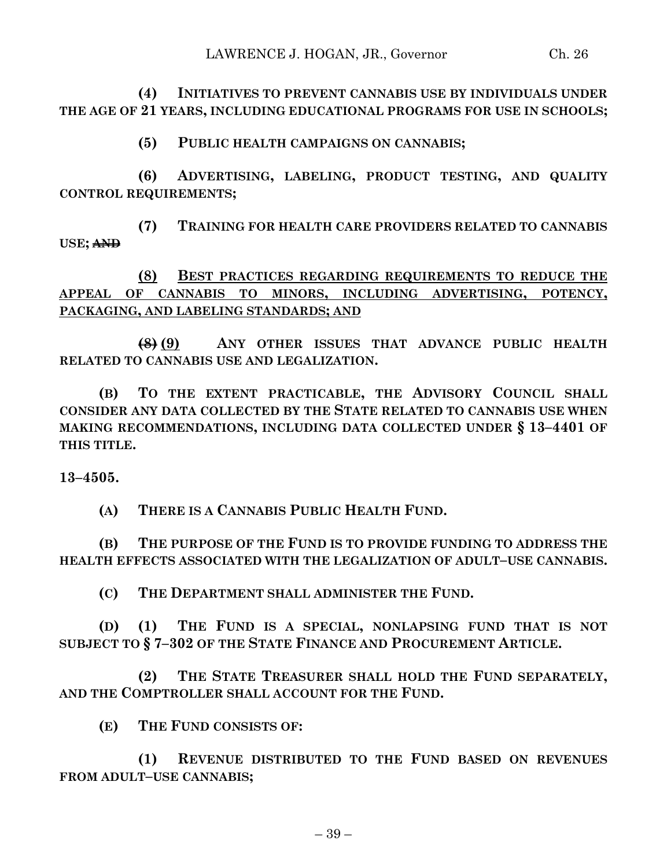**(4) INITIATIVES TO PREVENT CANNABIS USE BY INDIVIDUALS UNDER THE AGE OF 21 YEARS, INCLUDING EDUCATIONAL PROGRAMS FOR USE IN SCHOOLS;**

**(5) PUBLIC HEALTH CAMPAIGNS ON CANNABIS;**

**(6) ADVERTISING, LABELING, PRODUCT TESTING, AND QUALITY CONTROL REQUIREMENTS;**

**(7) TRAINING FOR HEALTH CARE PROVIDERS RELATED TO CANNABIS USE; AND**

**(8) BEST PRACTICES REGARDING REQUIREMENTS TO REDUCE THE APPEAL OF CANNABIS TO MINORS, INCLUDING ADVERTISING, POTENCY, PACKAGING, AND LABELING STANDARDS; AND**

**(8) (9) ANY OTHER ISSUES THAT ADVANCE PUBLIC HEALTH RELATED TO CANNABIS USE AND LEGALIZATION.**

**(B) TO THE EXTENT PRACTICABLE, THE ADVISORY COUNCIL SHALL CONSIDER ANY DATA COLLECTED BY THE STATE RELATED TO CANNABIS USE WHEN MAKING RECOMMENDATIONS, INCLUDING DATA COLLECTED UNDER § 13–4401 OF THIS TITLE.**

**13–4505.**

**(A) THERE IS A CANNABIS PUBLIC HEALTH FUND.**

**(B) THE PURPOSE OF THE FUND IS TO PROVIDE FUNDING TO ADDRESS THE HEALTH EFFECTS ASSOCIATED WITH THE LEGALIZATION OF ADULT–USE CANNABIS.**

**(C) THE DEPARTMENT SHALL ADMINISTER THE FUND.**

**(D) (1) THE FUND IS A SPECIAL, NONLAPSING FUND THAT IS NOT SUBJECT TO § 7–302 OF THE STATE FINANCE AND PROCUREMENT ARTICLE.**

**(2) THE STATE TREASURER SHALL HOLD THE FUND SEPARATELY, AND THE COMPTROLLER SHALL ACCOUNT FOR THE FUND.**

**(E) THE FUND CONSISTS OF:**

**(1) REVENUE DISTRIBUTED TO THE FUND BASED ON REVENUES FROM ADULT–USE CANNABIS;**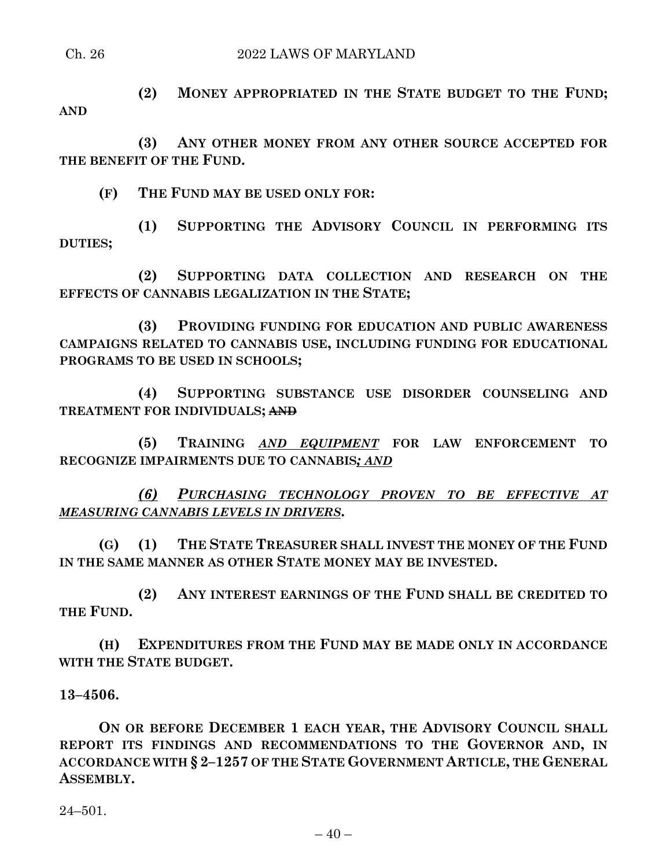#### Ch. 26 2022 LAWS OF MARYLAND

**(2) MONEY APPROPRIATED IN THE STATE BUDGET TO THE FUND; AND**

**(3) ANY OTHER MONEY FROM ANY OTHER SOURCE ACCEPTED FOR THE BENEFIT OF THE FUND.**

**(F) THE FUND MAY BE USED ONLY FOR:**

**(1) SUPPORTING THE ADVISORY COUNCIL IN PERFORMING ITS DUTIES;**

**(2) SUPPORTING DATA COLLECTION AND RESEARCH ON THE EFFECTS OF CANNABIS LEGALIZATION IN THE STATE;**

**(3) PROVIDING FUNDING FOR EDUCATION AND PUBLIC AWARENESS CAMPAIGNS RELATED TO CANNABIS USE, INCLUDING FUNDING FOR EDUCATIONAL PROGRAMS TO BE USED IN SCHOOLS;**

**(4) SUPPORTING SUBSTANCE USE DISORDER COUNSELING AND TREATMENT FOR INDIVIDUALS; AND**

**(5) TRAINING** *AND EQUIPMENT* **FOR LAW ENFORCEMENT TO RECOGNIZE IMPAIRMENTS DUE TO CANNABIS***; AND*

*(6) PURCHASING TECHNOLOGY PROVEN TO BE EFFECTIVE AT MEASURING CANNABIS LEVELS IN DRIVERS***.**

**(G) (1) THE STATE TREASURER SHALL INVEST THE MONEY OF THE FUND IN THE SAME MANNER AS OTHER STATE MONEY MAY BE INVESTED.**

**(2) ANY INTEREST EARNINGS OF THE FUND SHALL BE CREDITED TO THE FUND.**

**(H) EXPENDITURES FROM THE FUND MAY BE MADE ONLY IN ACCORDANCE WITH THE STATE BUDGET.**

**13–4506.**

**ON OR BEFORE DECEMBER 1 EACH YEAR, THE ADVISORY COUNCIL SHALL REPORT ITS FINDINGS AND RECOMMENDATIONS TO THE GOVERNOR AND, IN ACCORDANCE WITH § 2–1257 OF THE STATE GOVERNMENT ARTICLE, THE GENERAL ASSEMBLY.**

24–501.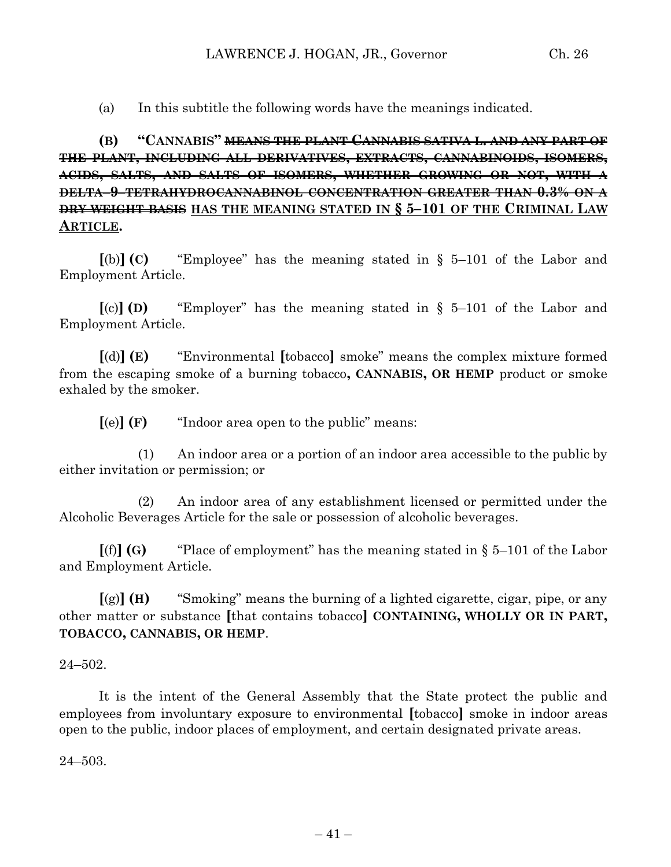(a) In this subtitle the following words have the meanings indicated.

**(B) "CANNABIS" MEANS THE PLANT CANNABIS SATIVA L. AND ANY PART OF THE PLANT, INCLUDING ALL DERIVATIVES, EXTRACTS, CANNABINOIDS, ISOMERS, ACIDS, SALTS, AND SALTS OF ISOMERS, WHETHER GROWING OR NOT, WITH A DELTA–9–TETRAHYDROCANNABINOL CONCENTRATION GREATER THAN 0.3% ON A DRY WEIGHT BASIS HAS THE MEANING STATED IN § 5–101 OF THE CRIMINAL LAW ARTICLE.**

**[**(b)**] (C)** "Employee" has the meaning stated in § 5–101 of the Labor and Employment Article.

**[**(c)**] (D)** "Employer" has the meaning stated in § 5–101 of the Labor and Employment Article.

**[**(d)**] (E)** "Environmental **[**tobacco**]** smoke" means the complex mixture formed from the escaping smoke of a burning tobacco**, CANNABIS, OR HEMP** product or smoke exhaled by the smoker.

**[**(e)**] (F)** "Indoor area open to the public" means:

(1) An indoor area or a portion of an indoor area accessible to the public by either invitation or permission; or

(2) An indoor area of any establishment licensed or permitted under the Alcoholic Beverages Article for the sale or possession of alcoholic beverages.

 $[(f)]$  **(G)** "Place of employment" has the meaning stated in § 5–101 of the Labor and Employment Article.

**[**(g)**] (H)** "Smoking" means the burning of a lighted cigarette, cigar, pipe, or any other matter or substance **[**that contains tobacco**] CONTAINING, WHOLLY OR IN PART, TOBACCO, CANNABIS, OR HEMP**.

 $24 - 502$ .

It is the intent of the General Assembly that the State protect the public and employees from involuntary exposure to environmental **[**tobacco**]** smoke in indoor areas open to the public, indoor places of employment, and certain designated private areas.

24–503.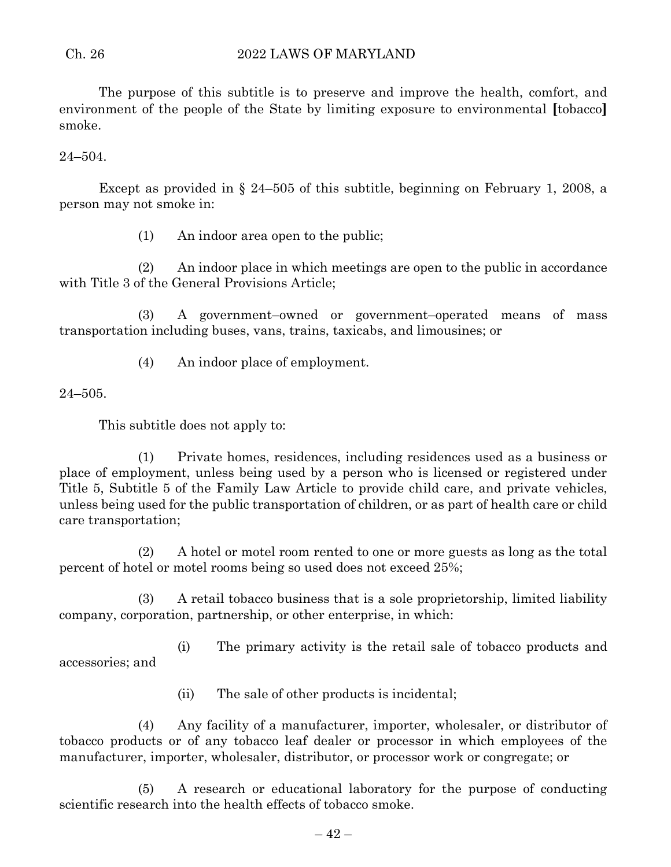The purpose of this subtitle is to preserve and improve the health, comfort, and environment of the people of the State by limiting exposure to environmental **[**tobacco**]** smoke.

24–504.

Except as provided in § 24–505 of this subtitle, beginning on February 1, 2008, a person may not smoke in:

(1) An indoor area open to the public;

(2) An indoor place in which meetings are open to the public in accordance with Title 3 of the General Provisions Article;

(3) A government–owned or government–operated means of mass transportation including buses, vans, trains, taxicabs, and limousines; or

(4) An indoor place of employment.

24–505.

This subtitle does not apply to:

(1) Private homes, residences, including residences used as a business or place of employment, unless being used by a person who is licensed or registered under Title 5, Subtitle 5 of the Family Law Article to provide child care, and private vehicles, unless being used for the public transportation of children, or as part of health care or child care transportation;

(2) A hotel or motel room rented to one or more guests as long as the total percent of hotel or motel rooms being so used does not exceed 25%;

(3) A retail tobacco business that is a sole proprietorship, limited liability company, corporation, partnership, or other enterprise, in which:

(i) The primary activity is the retail sale of tobacco products and accessories; and

(ii) The sale of other products is incidental;

(4) Any facility of a manufacturer, importer, wholesaler, or distributor of tobacco products or of any tobacco leaf dealer or processor in which employees of the manufacturer, importer, wholesaler, distributor, or processor work or congregate; or

(5) A research or educational laboratory for the purpose of conducting scientific research into the health effects of tobacco smoke.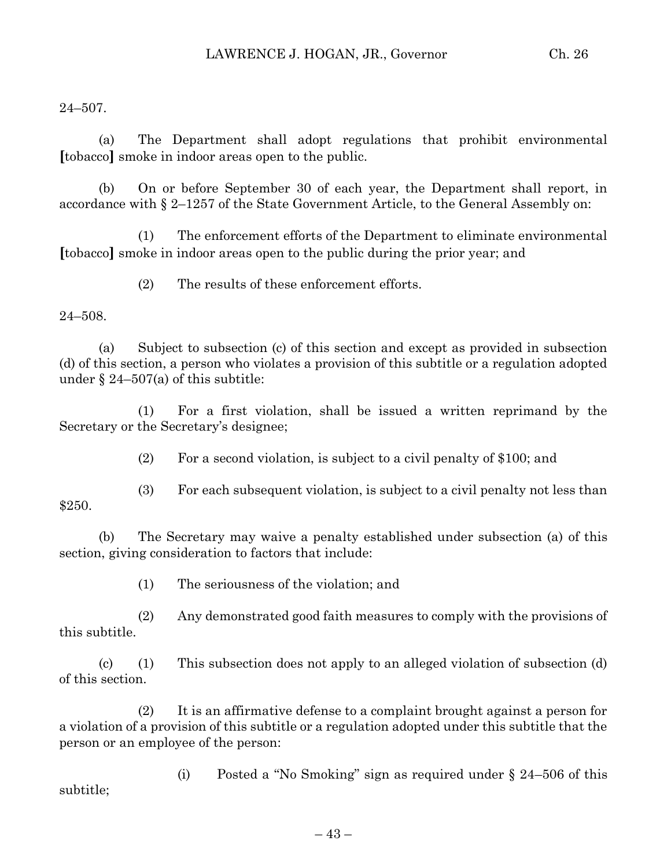24–507.

(a) The Department shall adopt regulations that prohibit environmental **[**tobacco**]** smoke in indoor areas open to the public.

(b) On or before September 30 of each year, the Department shall report, in accordance with § 2–1257 of the State Government Article, to the General Assembly on:

(1) The enforcement efforts of the Department to eliminate environmental **[**tobacco**]** smoke in indoor areas open to the public during the prior year; and

(2) The results of these enforcement efforts.

#### 24–508.

(a) Subject to subsection (c) of this section and except as provided in subsection (d) of this section, a person who violates a provision of this subtitle or a regulation adopted under  $\S 24-507(a)$  of this subtitle:

(1) For a first violation, shall be issued a written reprimand by the Secretary or the Secretary's designee;

(2) For a second violation, is subject to a civil penalty of \$100; and

(3) For each subsequent violation, is subject to a civil penalty not less than \$250.

(b) The Secretary may waive a penalty established under subsection (a) of this section, giving consideration to factors that include:

(1) The seriousness of the violation; and

(2) Any demonstrated good faith measures to comply with the provisions of this subtitle.

(c) (1) This subsection does not apply to an alleged violation of subsection (d) of this section.

(2) It is an affirmative defense to a complaint brought against a person for a violation of a provision of this subtitle or a regulation adopted under this subtitle that the person or an employee of the person:

(i) Posted a "No Smoking" sign as required under § 24–506 of this subtitle;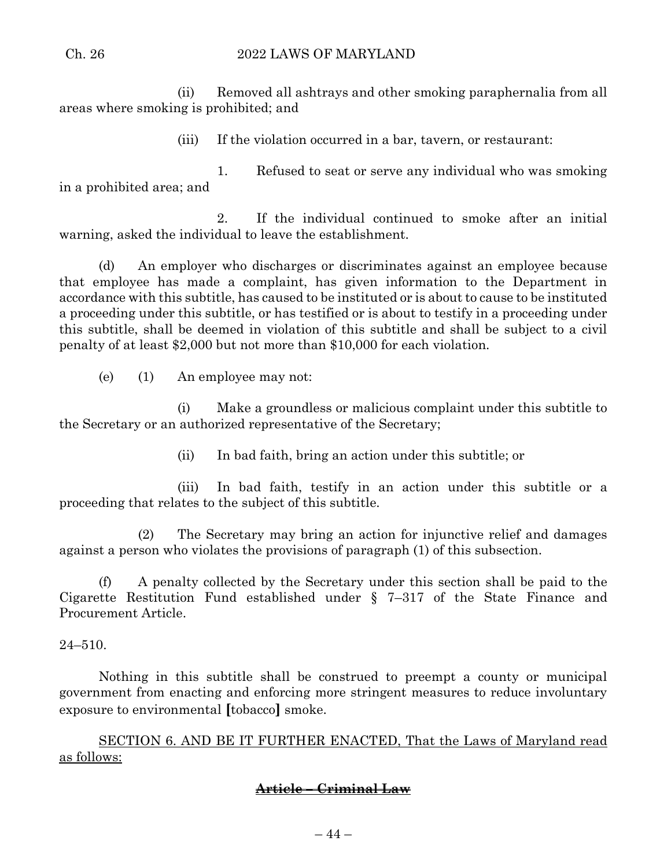(ii) Removed all ashtrays and other smoking paraphernalia from all areas where smoking is prohibited; and

(iii) If the violation occurred in a bar, tavern, or restaurant:

1. Refused to seat or serve any individual who was smoking in a prohibited area; and

2. If the individual continued to smoke after an initial warning, asked the individual to leave the establishment.

(d) An employer who discharges or discriminates against an employee because that employee has made a complaint, has given information to the Department in accordance with this subtitle, has caused to be instituted or is about to cause to be instituted a proceeding under this subtitle, or has testified or is about to testify in a proceeding under this subtitle, shall be deemed in violation of this subtitle and shall be subject to a civil penalty of at least \$2,000 but not more than \$10,000 for each violation.

(e) (1) An employee may not:

(i) Make a groundless or malicious complaint under this subtitle to the Secretary or an authorized representative of the Secretary;

(ii) In bad faith, bring an action under this subtitle; or

(iii) In bad faith, testify in an action under this subtitle or a proceeding that relates to the subject of this subtitle.

(2) The Secretary may bring an action for injunctive relief and damages against a person who violates the provisions of paragraph (1) of this subsection.

(f) A penalty collected by the Secretary under this section shall be paid to the Cigarette Restitution Fund established under § 7–317 of the State Finance and Procurement Article.

24–510.

Nothing in this subtitle shall be construed to preempt a county or municipal government from enacting and enforcing more stringent measures to reduce involuntary exposure to environmental **[**tobacco**]** smoke.

SECTION 6. AND BE IT FURTHER ENACTED, That the Laws of Maryland read as follows:

# **Article – Criminal Law**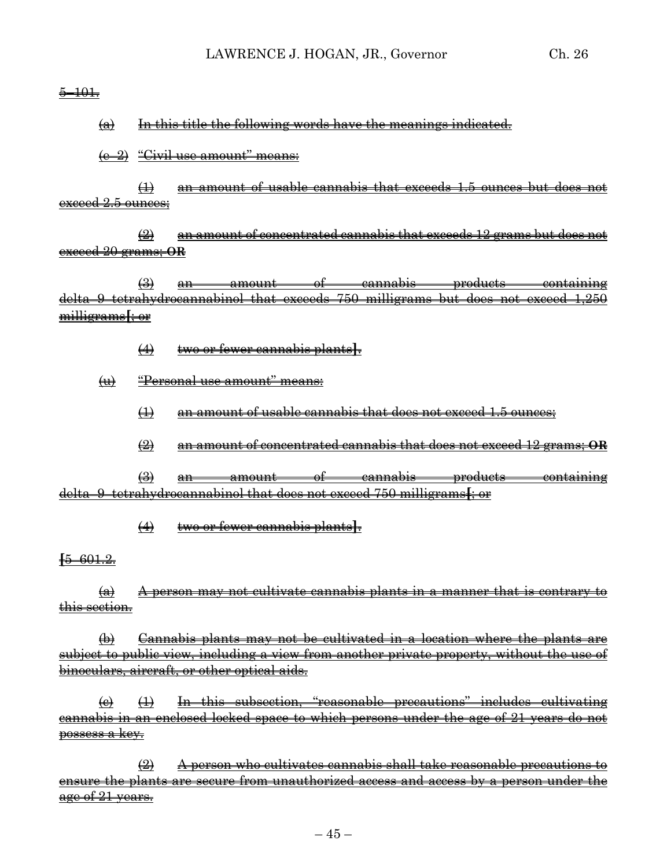$\frac{5-101}{7}$ 

(a) In this title the following words have the meanings indicated.

 $(e-2)$  "Civil use amount" means:

(1) an amount of usable cannabis that exceeds 1.5 ounces but does not exceed 2.5 ounces;

(2) an amount of concentrated cannabis that exceeds 12 grams but does not exceed 20 grams; **OR**

 $\left(\frac{3}{2}\right)$  an amount of cannabis products containing delta–9–tetrahydrocannabinol that exceeds 750 milligrams but does not exceed 1,250 milligrams**[**; or

- (4) two or fewer cannabis plants**]**.
- (u) "Personal use amount" means:
	- (1) an amount of usable cannabis that does not exceed 1.5 ounces;
	- (2) an amount of concentrated cannabis that does not exceed 12 grams; **OR**

(3) an amount of cannabis products containing delta–9–tetrahydrocannabinol that does not exceed 750 milligrams**[**; or

(4) two or fewer cannabis plants**]**.

**[**5–601.2.

 $(a)$  A person may not cultivate cannabis plants in a manner that is contrary to rection.

(b) Cannabis plants may not be cultivated in a location where the plants are subject to public view, including a view from another private property, without the use of binoculars, aircraft, or other optical aids.

 $\left( \Theta \right)$  (1) In this subsection, "reasonable precautions" includes cultivating cannabis in an enclosed locked space to which persons under the age of 21 years do not possess a key.

(2) A person who cultivates cannabis shall take reasonable precautions to ensure the plants are secure from unauthorized access and access by a person under the age of 21 years.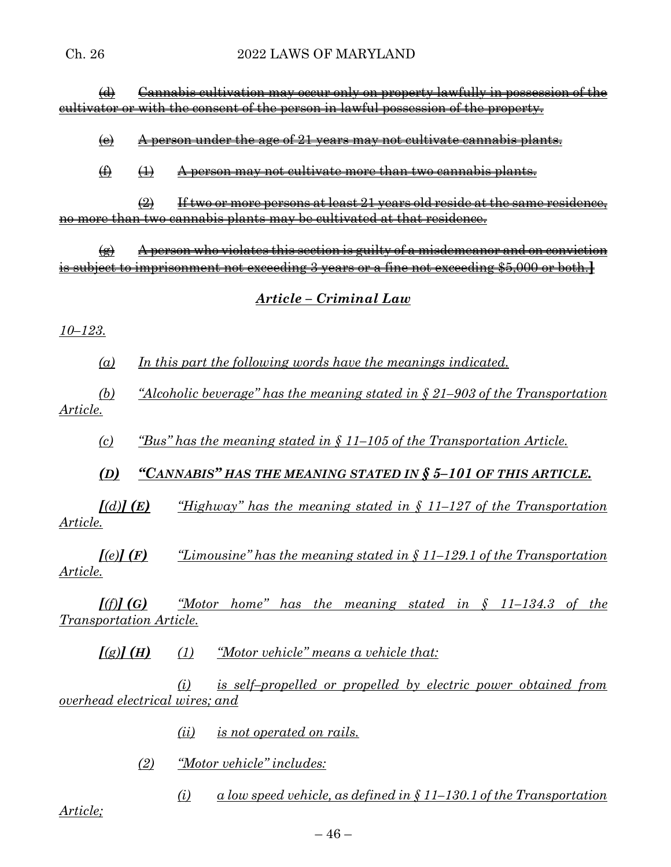(d) Cannabis cultivation may occur only on property lawfully in possession of the cultivator or with the consent of the person in lawful possession of the property.

 $\left(\theta\right)$  A person under the age of 21 years may not cultivate cannabis plants.

 $(4)$   $(1)$  A person may not cultivate more than two cannabis plants.

 $\left( 2 \right)$  If two or more persons at least 21 years old reside at the same residence, no more than two cannabis plants may be cultivated at that residence.

 $\left( \theta \right)$  A person who violates this section is guilty of a misdemeanor and on conviction is subject to imprisonment not exceeding 3 years or a fine not exceeding \$5,000 or both.**]**

# *Article – Criminal Law*

# *10–123.*

*(a) In this part the following words have the meanings indicated.*

*(b) "Alcoholic beverage" has the meaning stated in § 21–903 of the Transportation Article.*

*(c) "Bus" has the meaning stated in § 11–105 of the Transportation Article.*

*(D) "CANNABIS" HAS THE MEANING STATED IN § 5–101 OF THIS ARTICLE.*

 $[(d)]$  **(E)**  $"$  *Highway*" has the meaning stated in  $\{(11-127)$  of the Transportation *Article.*

*[(e)] (F) "Limousine" has the meaning stated in § 11–129.1 of the Transportation Article.*

*[(f)] (G) "Motor home" has the meaning stated in § 11–134.3 of the Transportation Article.*

*[(g)] (H) (1) "Motor vehicle" means a vehicle that:*

*(i) is self–propelled or propelled by electric power obtained from overhead electrical wires; and*

- *(ii) is not operated on rails.*
- *(2) "Motor vehicle" includes:*

*(i) a low speed vehicle, as defined in § 11–130.1 of the Transportation* 

*Article;*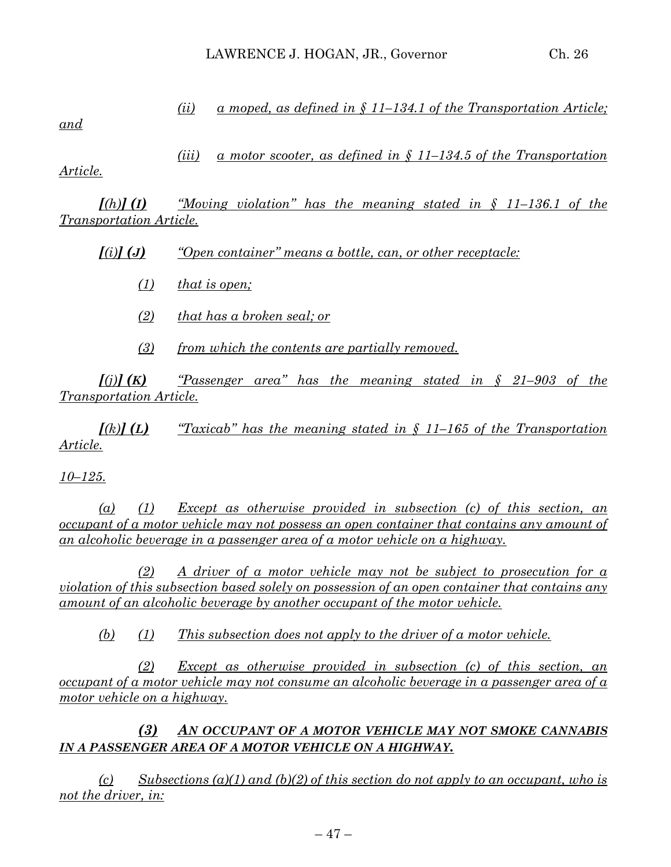|     | $\left( u\right)$ | a moped, as defined in $\delta$ 11–134.1 of the Transportation Article;                 |
|-----|-------------------|-----------------------------------------------------------------------------------------|
| and |                   |                                                                                         |
|     |                   |                                                                                         |
|     | (iii)             | <u>a motor scooter, as defined in <math>\zeta</math> 11–134.5 of the Transportation</u> |

*Article.*

*[(h)] (I) "Moving violation" has the meaning stated in § 11–136.1 of the Transportation Article.*

*[(i)] (J) "Open container" means a bottle, can, or other receptacle:*

*(1) that is open;*

- *(2) that has a broken seal; or*
- *(3) from which the contents are partially removed.*

 $f(i)$  **(K)**  $f(K)$  *"Passenger area"* has the meaning stated in  $\zeta$  21–903 of the *Transportation Article.*

 $\int f(k)$  *(L)*  $\int f(k)$  *"Taxicab"* has the meaning stated in § 11–165 of the Transportation *Article.*

*10–125.*

*(a) (1) Except as otherwise provided in subsection (c) of this section, an occupant of a motor vehicle may not possess an open container that contains any amount of an alcoholic beverage in a passenger area of a motor vehicle on a highway.*

*(2) A driver of a motor vehicle may not be subject to prosecution for a violation of this subsection based solely on possession of an open container that contains any amount of an alcoholic beverage by another occupant of the motor vehicle.*

*(b) (1) This subsection does not apply to the driver of a motor vehicle.*

*(2) Except as otherwise provided in subsection (c) of this section, an occupant of a motor vehicle may not consume an alcoholic beverage in a passenger area of a motor vehicle on a highway.*

*(3) AN OCCUPANT OF A MOTOR VEHICLE MAY NOT SMOKE CANNABIS IN A PASSENGER AREA OF A MOTOR VEHICLE ON A HIGHWAY.*

*(c) Subsections (a)(1) and (b)(2) of this section do not apply to an occupant, who is not the driver, in:*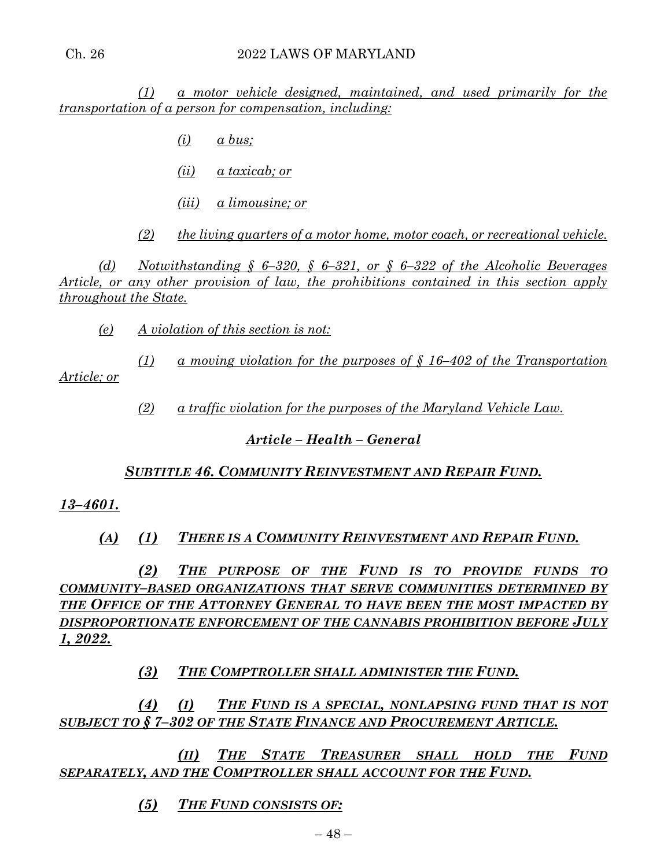*(1) a motor vehicle designed, maintained, and used primarily for the transportation of a person for compensation, including:*

- *(i) a bus;*
- *(ii) a taxicab; or*
- *(iii) a limousine; or*

*(2) the living quarters of a motor home, motor coach, or recreational vehicle.*

*(d) Notwithstanding § 6–320, § 6–321, or § 6–322 of the Alcoholic Beverages Article, or any other provision of law, the prohibitions contained in this section apply throughout the State.*

*(e) A violation of this section is not:*

*(1) a moving violation for the purposes of § 16–402 of the Transportation Article; or*

*(2) a traffic violation for the purposes of the Maryland Vehicle Law.*

# *Article – Health – General*

# *SUBTITLE 46. COMMUNITY REINVESTMENT AND REPAIR FUND.*

# *13–4601.*

*(A) (1) THERE IS A COMMUNITY REINVESTMENT AND REPAIR FUND.*

*(2) THE PURPOSE OF THE FUND IS TO PROVIDE FUNDS TO COMMUNITY–BASED ORGANIZATIONS THAT SERVE COMMUNITIES DETERMINED BY THE OFFICE OF THE ATTORNEY GENERAL TO HAVE BEEN THE MOST IMPACTED BY DISPROPORTIONATE ENFORCEMENT OF THE CANNABIS PROHIBITION BEFORE JULY 1, 2022.*

*(3) THE COMPTROLLER SHALL ADMINISTER THE FUND.*

*(4) (I) THE FUND IS A SPECIAL, NONLAPSING FUND THAT IS NOT SUBJECT TO § 7–302 OF THE STATE FINANCE AND PROCUREMENT ARTICLE.*

*(II) THE STATE TREASURER SHALL HOLD THE FUND SEPARATELY, AND THE COMPTROLLER SHALL ACCOUNT FOR THE FUND.*

*(5) THE FUND CONSISTS OF:*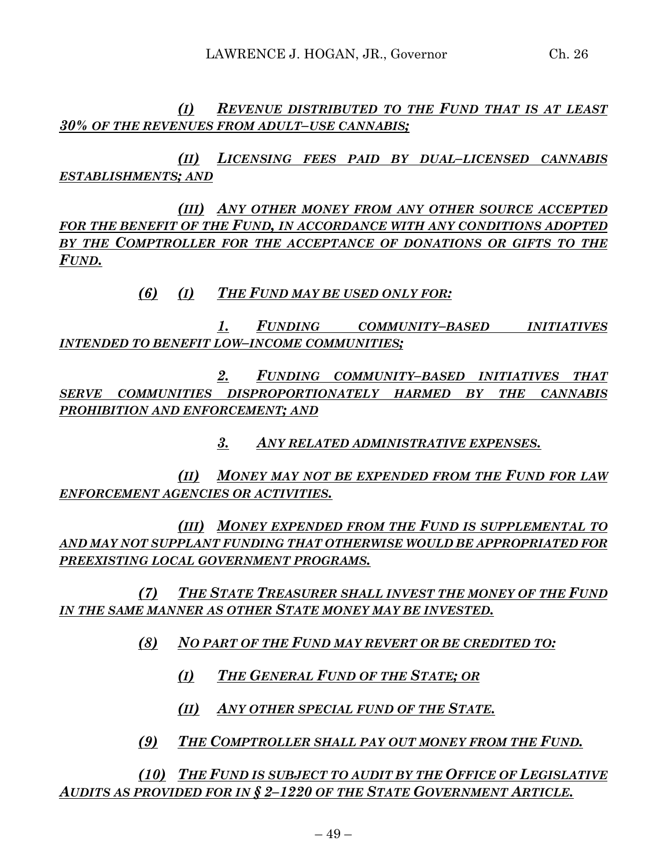*(I) REVENUE DISTRIBUTED TO THE FUND THAT IS AT LEAST 30% OF THE REVENUES FROM ADULT–USE CANNABIS;*

*(II) LICENSING FEES PAID BY DUAL–LICENSED CANNABIS ESTABLISHMENTS; AND*

*(III) ANY OTHER MONEY FROM ANY OTHER SOURCE ACCEPTED FOR THE BENEFIT OF THE FUND, IN ACCORDANCE WITH ANY CONDITIONS ADOPTED BY THE COMPTROLLER FOR THE ACCEPTANCE OF DONATIONS OR GIFTS TO THE FUND.*

*(6) (I) THE FUND MAY BE USED ONLY FOR:*

*1. FUNDING COMMUNITY–BASED INITIATIVES INTENDED TO BENEFIT LOW–INCOME COMMUNITIES;*

*2. FUNDING COMMUNITY–BASED INITIATIVES THAT SERVE COMMUNITIES DISPROPORTIONATELY HARMED BY THE CANNABIS PROHIBITION AND ENFORCEMENT; AND*

*3. ANY RELATED ADMINISTRATIVE EXPENSES.*

*(II) MONEY MAY NOT BE EXPENDED FROM THE FUND FOR LAW ENFORCEMENT AGENCIES OR ACTIVITIES.*

*(III) MONEY EXPENDED FROM THE FUND IS SUPPLEMENTAL TO AND MAY NOT SUPPLANT FUNDING THAT OTHERWISE WOULD BE APPROPRIATED FOR PREEXISTING LOCAL GOVERNMENT PROGRAMS.*

*(7) THE STATE TREASURER SHALL INVEST THE MONEY OF THE FUND IN THE SAME MANNER AS OTHER STATE MONEY MAY BE INVESTED.*

*(8) NO PART OF THE FUND MAY REVERT OR BE CREDITED TO:*

- *(I) THE GENERAL FUND OF THE STATE; OR*
- *(II) ANY OTHER SPECIAL FUND OF THE STATE.*
- *(9) THE COMPTROLLER SHALL PAY OUT MONEY FROM THE FUND.*

*(10) THE FUND IS SUBJECT TO AUDIT BY THE OFFICE OF LEGISLATIVE AUDITS AS PROVIDED FOR IN § 2–1220 OF THE STATE GOVERNMENT ARTICLE.*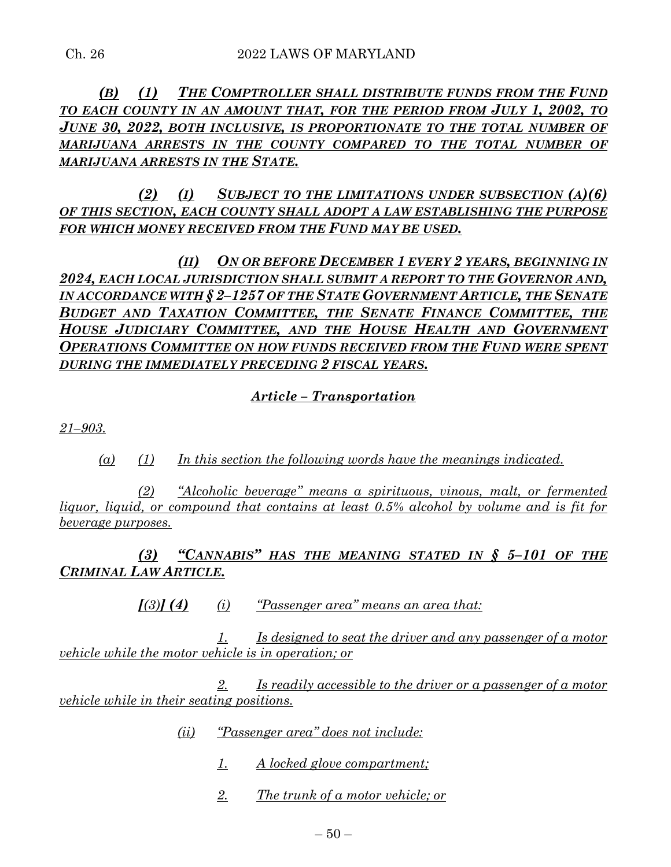*(B) (1) THE COMPTROLLER SHALL DISTRIBUTE FUNDS FROM THE FUND TO EACH COUNTY IN AN AMOUNT THAT, FOR THE PERIOD FROM JULY 1, 2002, TO JUNE 30, 2022, BOTH INCLUSIVE, IS PROPORTIONATE TO THE TOTAL NUMBER OF MARIJUANA ARRESTS IN THE COUNTY COMPARED TO THE TOTAL NUMBER OF MARIJUANA ARRESTS IN THE STATE.*

*(2) (I) SUBJECT TO THE LIMITATIONS UNDER SUBSECTION (A)(6) OF THIS SECTION, EACH COUNTY SHALL ADOPT A LAW ESTABLISHING THE PURPOSE FOR WHICH MONEY RECEIVED FROM THE FUND MAY BE USED.*

*(II) ON OR BEFORE DECEMBER 1 EVERY 2 YEARS, BEGINNING IN 2024, EACH LOCAL JURISDICTION SHALL SUBMIT A REPORT TO THE GOVERNOR AND, IN ACCORDANCE WITH § 2–1257 OF THE STATE GOVERNMENT ARTICLE, THE SENATE BUDGET AND TAXATION COMMITTEE, THE SENATE FINANCE COMMITTEE, THE HOUSE JUDICIARY COMMITTEE, AND THE HOUSE HEALTH AND GOVERNMENT OPERATIONS COMMITTEE ON HOW FUNDS RECEIVED FROM THE FUND WERE SPENT DURING THE IMMEDIATELY PRECEDING 2 FISCAL YEARS.*

# *Article – Transportation*

*21–903.*

*(a) (1) In this section the following words have the meanings indicated.*

*(2) "Alcoholic beverage" means a spirituous, vinous, malt, or fermented liquor, liquid, or compound that contains at least 0.5% alcohol by volume and is fit for beverage purposes.*

*(3) "CANNABIS" HAS THE MEANING STATED IN § 5–101 OF THE CRIMINAL LAW ARTICLE.*

*[(3)] (4) (i) "Passenger area" means an area that:*

*1. Is designed to seat the driver and any passenger of a motor vehicle while the motor vehicle is in operation; or*

*2. Is readily accessible to the driver or a passenger of a motor vehicle while in their seating positions.*

- *(ii) "Passenger area" does not include:*
	- *1. A locked glove compartment;*
	- *2. The trunk of a motor vehicle; or*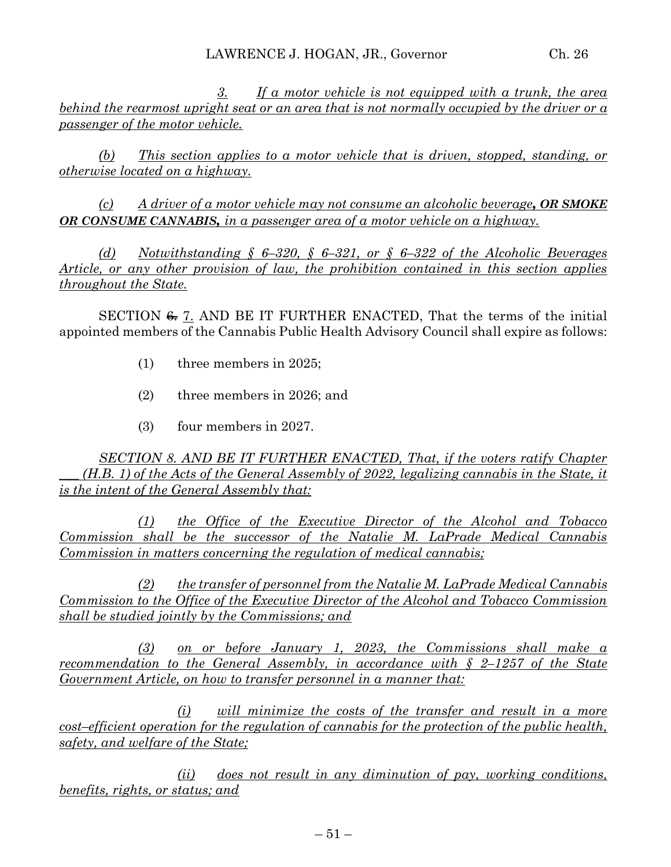*3. If a motor vehicle is not equipped with a trunk, the area behind the rearmost upright seat or an area that is not normally occupied by the driver or a passenger of the motor vehicle.*

*(b) This section applies to a motor vehicle that is driven, stopped, standing, or otherwise located on a highway.*

*(c) A driver of a motor vehicle may not consume an alcoholic beverage, OR SMOKE OR CONSUME CANNABIS, in a passenger area of a motor vehicle on a highway.*

*(d) Notwithstanding § 6–320, § 6–321, or § 6–322 of the Alcoholic Beverages Article, or any other provision of law, the prohibition contained in this section applies throughout the State.* 

SECTION  $\leftarrow$  7. AND BE IT FURTHER ENACTED, That the terms of the initial appointed members of the Cannabis Public Health Advisory Council shall expire as follows:

- (1) three members in 2025;
- (2) three members in 2026; and
- (3) four members in 2027.

*SECTION 8. AND BE IT FURTHER ENACTED, That, if the voters ratify Chapter (H.B. 1) of the Acts of the General Assembly of 2022, legalizing cannabis in the State, it is the intent of the General Assembly that:*

*(1) the Office of the Executive Director of the Alcohol and Tobacco Commission shall be the successor of the Natalie M. LaPrade Medical Cannabis Commission in matters concerning the regulation of medical cannabis;* 

*(2) the transfer of personnel from the Natalie M. LaPrade Medical Cannabis Commission to the Office of the Executive Director of the Alcohol and Tobacco Commission shall be studied jointly by the Commissions; and*

*(3) on or before January 1, 2023, the Commissions shall make a recommendation to the General Assembly, in accordance with § 2–1257 of the State Government Article, on how to transfer personnel in a manner that:*

*(i) will minimize the costs of the transfer and result in a more cost–efficient operation for the regulation of cannabis for the protection of the public health, safety, and welfare of the State;* 

*(ii) does not result in any diminution of pay, working conditions, benefits, rights, or status; and*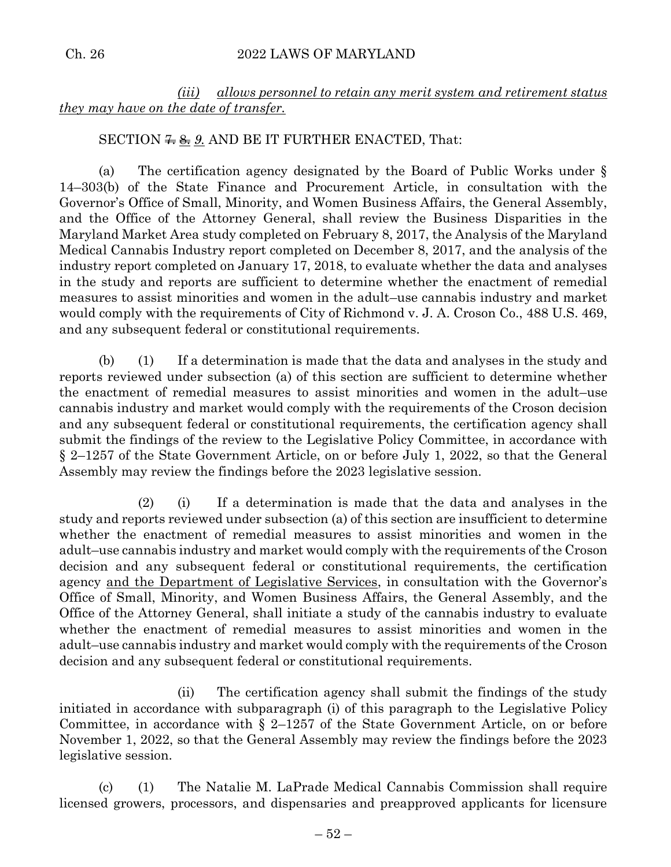*(iii) allows personnel to retain any merit system and retirement status they may have on the date of transfer.*

# SECTION  $\frac{2.66}{1.66}$   $\frac{9.66}{1.66}$  AND BE IT FURTHER ENACTED, That:

(a) The certification agency designated by the Board of Public Works under § 14–303(b) of the State Finance and Procurement Article, in consultation with the Governor's Office of Small, Minority, and Women Business Affairs, the General Assembly, and the Office of the Attorney General, shall review the Business Disparities in the Maryland Market Area study completed on February 8, 2017, the Analysis of the Maryland Medical Cannabis Industry report completed on December 8, 2017, and the analysis of the industry report completed on January 17, 2018, to evaluate whether the data and analyses in the study and reports are sufficient to determine whether the enactment of remedial measures to assist minorities and women in the adult–use cannabis industry and market would comply with the requirements of City of Richmond v. J. A. Croson Co., 488 U.S. 469, and any subsequent federal or constitutional requirements.

(b) (1) If a determination is made that the data and analyses in the study and reports reviewed under subsection (a) of this section are sufficient to determine whether the enactment of remedial measures to assist minorities and women in the adult–use cannabis industry and market would comply with the requirements of the Croson decision and any subsequent federal or constitutional requirements, the certification agency shall submit the findings of the review to the Legislative Policy Committee, in accordance with § 2–1257 of the State Government Article, on or before July 1, 2022, so that the General Assembly may review the findings before the 2023 legislative session.

(2) (i) If a determination is made that the data and analyses in the study and reports reviewed under subsection (a) of this section are insufficient to determine whether the enactment of remedial measures to assist minorities and women in the adult–use cannabis industry and market would comply with the requirements of the Croson decision and any subsequent federal or constitutional requirements, the certification agency and the Department of Legislative Services, in consultation with the Governor's Office of Small, Minority, and Women Business Affairs, the General Assembly, and the Office of the Attorney General, shall initiate a study of the cannabis industry to evaluate whether the enactment of remedial measures to assist minorities and women in the adult–use cannabis industry and market would comply with the requirements of the Croson decision and any subsequent federal or constitutional requirements.

(ii) The certification agency shall submit the findings of the study initiated in accordance with subparagraph (i) of this paragraph to the Legislative Policy Committee, in accordance with  $\S$  2–1257 of the State Government Article, on or before November 1, 2022, so that the General Assembly may review the findings before the 2023 legislative session.

(c) (1) The Natalie M. LaPrade Medical Cannabis Commission shall require licensed growers, processors, and dispensaries and preapproved applicants for licensure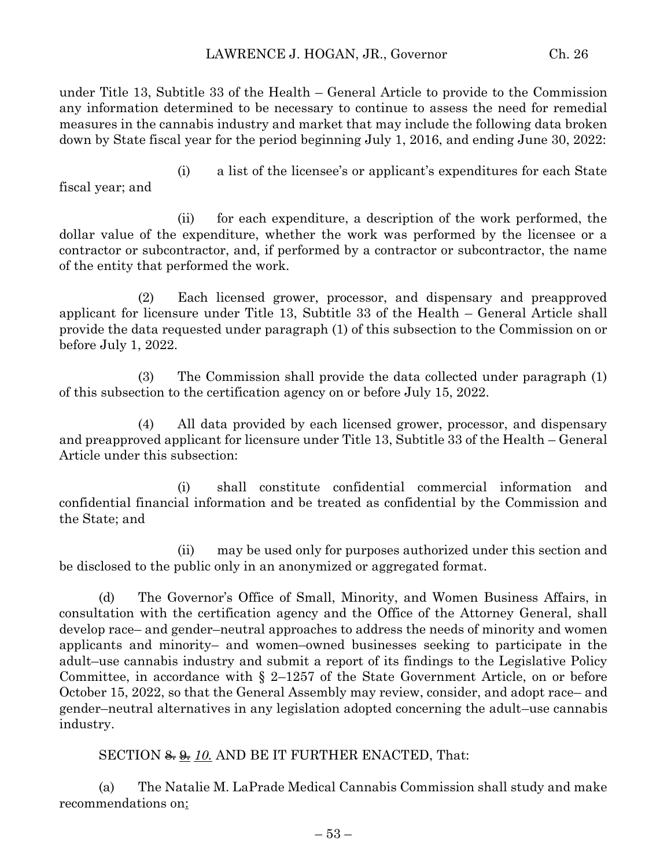under Title 13, Subtitle 33 of the Health – General Article to provide to the Commission any information determined to be necessary to continue to assess the need for remedial measures in the cannabis industry and market that may include the following data broken down by State fiscal year for the period beginning July 1, 2016, and ending June 30, 2022:

(i) a list of the licensee's or applicant's expenditures for each State fiscal year; and

(ii) for each expenditure, a description of the work performed, the dollar value of the expenditure, whether the work was performed by the licensee or a contractor or subcontractor, and, if performed by a contractor or subcontractor, the name of the entity that performed the work.

(2) Each licensed grower, processor, and dispensary and preapproved applicant for licensure under Title 13, Subtitle 33 of the Health – General Article shall provide the data requested under paragraph (1) of this subsection to the Commission on or before July 1, 2022.

(3) The Commission shall provide the data collected under paragraph (1) of this subsection to the certification agency on or before July 15, 2022.

(4) All data provided by each licensed grower, processor, and dispensary and preapproved applicant for licensure under Title 13, Subtitle 33 of the Health – General Article under this subsection:

(i) shall constitute confidential commercial information and confidential financial information and be treated as confidential by the Commission and the State; and

(ii) may be used only for purposes authorized under this section and be disclosed to the public only in an anonymized or aggregated format.

(d) The Governor's Office of Small, Minority, and Women Business Affairs, in consultation with the certification agency and the Office of the Attorney General, shall develop race– and gender–neutral approaches to address the needs of minority and women applicants and minority– and women–owned businesses seeking to participate in the adult–use cannabis industry and submit a report of its findings to the Legislative Policy Committee, in accordance with § 2–1257 of the State Government Article, on or before October 15, 2022, so that the General Assembly may review, consider, and adopt race– and gender–neutral alternatives in any legislation adopted concerning the adult–use cannabis industry.

SECTION  $\frac{a}{b}$  10. AND BE IT FURTHER ENACTED, That:

(a) The Natalie M. LaPrade Medical Cannabis Commission shall study and make recommendations on: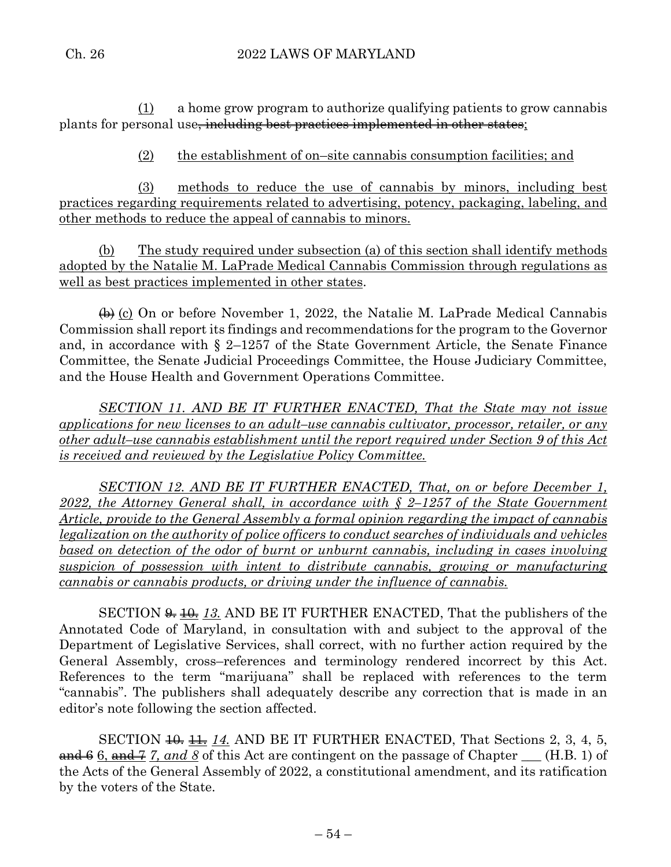(1) a home grow program to authorize qualifying patients to grow cannabis plants for personal use<del>, including best practices implemented in other states</del>;

(2) the establishment of on–site cannabis consumption facilities; and

(3) methods to reduce the use of cannabis by minors, including best practices regarding requirements related to advertising, potency, packaging, labeling, and other methods to reduce the appeal of cannabis to minors.

(b) The study required under subsection (a) of this section shall identify methods adopted by the Natalie M. LaPrade Medical Cannabis Commission through regulations as well as best practices implemented in other states.

 $\leftrightarrow$  (c) On or before November 1, 2022, the Natalie M. LaPrade Medical Cannabis Commission shall report its findings and recommendations for the program to the Governor and, in accordance with § 2–1257 of the State Government Article, the Senate Finance Committee, the Senate Judicial Proceedings Committee, the House Judiciary Committee, and the House Health and Government Operations Committee.

*SECTION 11. AND BE IT FURTHER ENACTED, That the State may not issue applications for new licenses to an adult–use cannabis cultivator, processor, retailer, or any other adult–use cannabis establishment until the report required under Section 9 of this Act is received and reviewed by the Legislative Policy Committee.*

*SECTION 12. AND BE IT FURTHER ENACTED, That, on or before December 1, 2022, the Attorney General shall, in accordance with § 2–1257 of the State Government Article, provide to the General Assembly a formal opinion regarding the impact of cannabis legalization on the authority of police officers to conduct searches of individuals and vehicles*  based on detection of the odor of burnt or unburnt cannabis, including in cases involving *suspicion of possession with intent to distribute cannabis, growing or manufacturing cannabis or cannabis products, or driving under the influence of cannabis.* 

SECTION  $\frac{4}{9}$ ,  $\frac{13}{13}$  AND BE IT FURTHER ENACTED, That the publishers of the Annotated Code of Maryland, in consultation with and subject to the approval of the Department of Legislative Services, shall correct, with no further action required by the General Assembly, cross–references and terminology rendered incorrect by this Act. References to the term "marijuana" shall be replaced with references to the term "cannabis". The publishers shall adequately describe any correction that is made in an editor's note following the section affected.

SECTION  $\frac{11}{11}$ ,  $\frac{14}{11}$ , AND BE IT FURTHER ENACTED, That Sections 2, 3, 4, 5, and 6 6, and 7 7, and 8 of this Act are contingent on the passage of Chapter  $\quad$  (H.B. 1) of the Acts of the General Assembly of 2022, a constitutional amendment, and its ratification by the voters of the State.